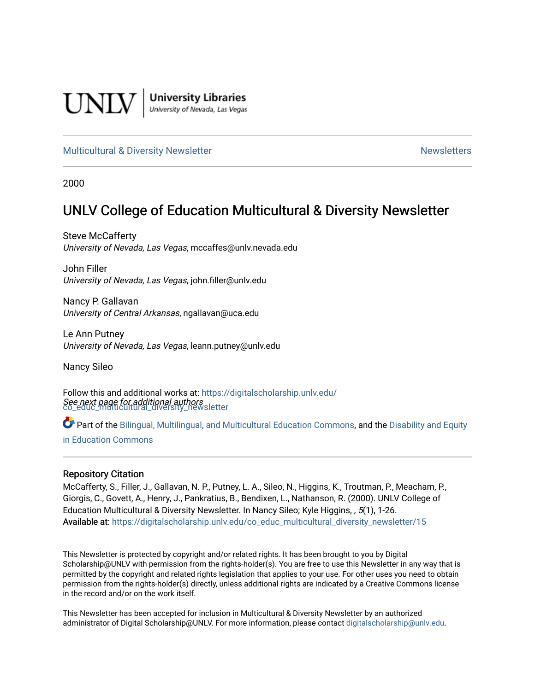

**University Libraries**<br>University of Nevada, Las Vegas

## [Multicultural & Diversity Newsletter](https://digitalscholarship.unlv.edu/co_educ_multicultural_diversity_newsletter) Newsletter [Newsletters](https://digitalscholarship.unlv.edu/co_educ_newsletters) Newsletters

2000

# UNLV College of Education Multicultural & Diversity Newsletter

Steve McCafferty University of Nevada, Las Vegas, mccaffes@unlv.nevada.edu

John Filler University of Nevada, Las Vegas, john.filler@unlv.edu

Nancy P. Gallavan University of Central Arkansas, ngallavan@uca.edu

Le Ann Putney University of Nevada, Las Vegas, leann.putney@unlv.edu

Nancy Sileo

See next page for additional authors [co\\_educ\\_multicultural\\_diversity\\_newsletter](https://digitalscholarship.unlv.edu/co_educ_multicultural_diversity_newsletter?utm_source=digitalscholarship.unlv.edu%2Fco_educ_multicultural_diversity_newsletter%2F15&utm_medium=PDF&utm_campaign=PDFCoverPages)  Follow this and additional works at: [https://digitalscholarship.unlv.edu/](https://digitalscholarship.unlv.edu/co_educ_multicultural_diversity_newsletter?utm_source=digitalscholarship.unlv.edu%2Fco_educ_multicultural_diversity_newsletter%2F15&utm_medium=PDF&utm_campaign=PDFCoverPages)

Part of the [Bilingual, Multilingual, and Multicultural Education Commons,](http://network.bepress.com/hgg/discipline/785?utm_source=digitalscholarship.unlv.edu%2Fco_educ_multicultural_diversity_newsletter%2F15&utm_medium=PDF&utm_campaign=PDFCoverPages) and the Disability and Equity [in Education Commons](http://network.bepress.com/hgg/discipline/1040?utm_source=digitalscholarship.unlv.edu%2Fco_educ_multicultural_diversity_newsletter%2F15&utm_medium=PDF&utm_campaign=PDFCoverPages)

### Repository Citation

McCafferty, S., Filler, J., Gallavan, N. P., Putney, L. A., Sileo, N., Higgins, K., Troutman, P., Meacham, P., Giorgis, C., Govett, A., Henry, J., Pankratius, B., Bendixen, L., Nathanson, R. (2000). UNLV College of Education Multicultural & Diversity Newsletter. In Nancy Sileo; Kyle Higgins, , 5(1), 1-26. Available at: [https://digitalscholarship.unlv.edu/co\\_educ\\_multicultural\\_diversity\\_newsletter/15](https://digitalscholarship.unlv.edu/co_educ_multicultural_diversity_newsletter/15) 

This Newsletter is protected by copyright and/or related rights. It has been brought to you by Digital Scholarship@UNLV with permission from the rights-holder(s). You are free to use this Newsletter in any way that is permitted by the copyright and related rights legislation that applies to your use. For other uses you need to obtain permission from the rights-holder(s) directly, unless additional rights are indicated by a Creative Commons license in the record and/or on the work itself.

This Newsletter has been accepted for inclusion in Multicultural & Diversity Newsletter by an authorized administrator of Digital Scholarship@UNLV. For more information, please contact [digitalscholarship@unlv.edu.](mailto:digitalscholarship@unlv.edu)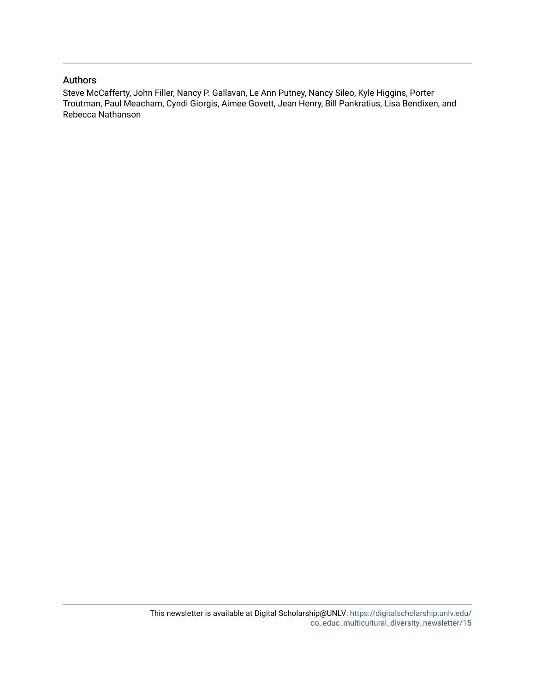## Authors

Steve McCafferty, John Filler, Nancy P. Gallavan, Le Ann Putney, Nancy Sileo, Kyle Higgins, Porter Troutman, Paul Meacham, Cyndi Giorgis, Aimee Govett, Jean Henry, Bill Pankratius, Lisa Bendixen, and Rebecca Nathanson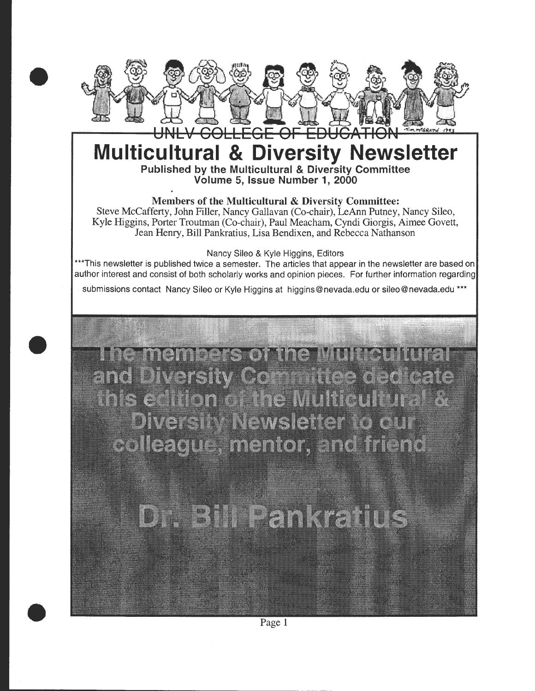

•

•

•

# **Multicultural & Diversity Newsletter**  Published by the Multicultural & Diversity Committee Volume 5, Issue Number 1, 2000

Members of the Multicultural & Diversity Committee: Steve McCafferty, John Filler, Nancy Gallavan (Co-chair), LeAnn Putney, Nancy Sileo, Kyle Higgins, Porter Troutman (Co-chair), Paul Meacham, Cyndi Giorgis, Aimee Govett, Jean Henry, Bill Pankratius, Lisa Bendixen, and Rebecca Nathanson

Nancy Sileo & Kyle Higgins, Editors

\*\*\*This newsletter is published twice a semester. The articles that appear in the newsletter are based on author interest and consist of both scholarly works and opinion pieces. For further information regarding

submissions contact Nancy Sileo or Kyle Higgins at higgins@nevada.edu or sileo@nevada.edu \*\*\*



# Dr. Bill Pankratius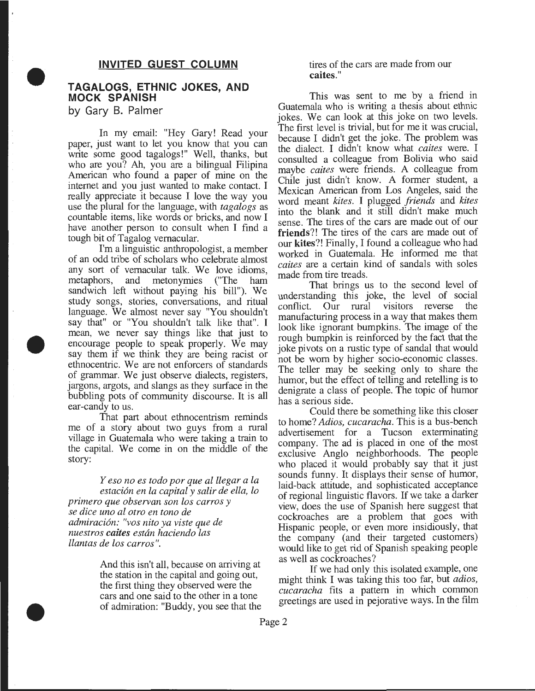## **INVITED GUEST COLUMN**

## **TAGALOGS, ETHNIC JOKES, AND MOCK SPANISH**

by Gary **B. Palmer** 

•

In my email: "Hey Gary! Read your paper, just want to let you know that you can write some good tagalogs!" Well, thanks, but who are you? Ah, you are a bilingual Filipina American who found a paper of mine on the internet and you just wanted to make contact. I really appreciate it because I love the way you use the plural for the language, with *tagalogs* as countable items, like words or bricks, and now I have another person to consult when I find a tough bit of Tagalog vernacular. .

I'm a linguistic anthropologist, a member of an odd tribe of scholars who celebrate almost any sort of vernacular talk. We love idioms, metaphors, and metonymies ("The ham sandwich left without paying his bill"). We study songs, stories, conversations, and ritual language. We almost never say "You shouldn't say that" or "You shouldn't talk like that". I mean, we never say things like that just to encourage people to speak properly. We may say them if we think they are being racist or ethnocentric. We are not enforcers of standards of grammar. We just observe dialects, registers, jargons, argots, and slangs as they surface in the bubbling pots of community discourse. It is all ear-candy to us.

That part about ethnocentrism reminds me of a story about two guys from a rural village in Guatemala who were taking a train to the capital. We come in on the middle of the story:

*Y eso no es todo par que alllegar a la estaci6n en la capital y salir de ella, lo primero que observan son los carros y se dice uno al otro en tono de admiraci6n: "vas nita ya viste que de nuestros caites estan hacienda las llantas de los carros* ".

> And this isn't all, because on arriving at the station in the capital and going out, the first thing they observed were the cars and one said to the other in a tone of admiration: "Buddy, you see that the

tires of the cars are made from our **caites."** 

This was sent to me by a friend in Guatemala who is writing a thesis about ethnic jokes. We can look at this joke on two levels. The first level is trivial, but for me it was crucial, because I didn't get the joke. The problem was the dialect. I didn't know what *caites* were. I consulted a colleague from Bolivia who said maybe *caites* were friends. A colleague from Chile just didn't know. A former student, a Mexican American from Los Angeles, said the word meant *kites.* I plugged *friends* and *kites*  into the blank and it still didn't make much sense. The tires of the cars are made out of our **friends?!** The tires of the cars are made out of our **kites?!** Finally, I found a colleague who had worked in Guatemala. He informed me that *caites* are a certain kind of sandals with soles made from tire treads.

That brings us to the second level of understanding this joke, the level of social conflict. Our rural visitors reverse the conflict. Our rural visitors reverse the manufacturing process in a way that makes them look like ignorant bumpkins. The image of the rough bumpkin is reinforced by the fact that the joke pivots on a rustic type of sandal that would not be worn by higher socio-economic classes. The teller may be seeking only to share the humor, but the effect of telling and retelling is to denigrate a class of people. The topic of humor has a serious side.

Could there be something like this closer to home? Adios, cucaracha. This is a bus-bench advertisement for a Tucson exterminating company. The ad is placed in one of the most exclusive Anglo neighborhoods. The people who placed it would probably say that it just sounds funny. It displays their sense of humor, laid-back attitude, and sophisticated acceptance of regional linguistic flavors. If we take a darker view, does the use of Spanish here suggest that cockroaches are a problem that goes with Hispanic people, or even more insidiously, that the company (and their targeted customers) would like to get rid of Spamsh speaking people as well as cockroaches?

If we had only this isolated example, one might think I was taking this too far, but *adios*, *cucaracha* fits a pattern in which common greetings are used in pejorative ways. In the film



•

•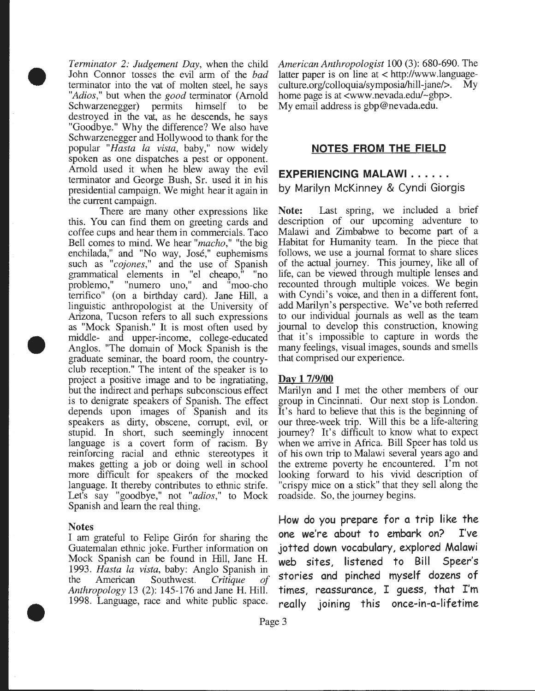*Terminator 2: Judgement Day, when the child* John Connor tosses the evil arm of the *bad*  terminator into the vat of molten steel, he says *"Adios,"* but when the *good* terminator (Arnold Schwarzenegger) permits himself to be destroyed in the vat, as he descends, he says "Goodbye." Why the difference? We also have Schwarzenegger and Hollywood to thank for the popular *"Hasta la vista,* baby," now widely spoken as one dispatches a pest or opponent. Arnold used it when he blew away the evil terminator and George Bush, Sr. used it in his presidential campaign. We might hear it again in the current campaign.

There are many other expressions like this. You can find them on greeting cards and coffee cups and hear them in commercials. Taco Bell comes to mind. We hear *"macho,"* "the big enchilada," and "No way, Jose," euphemisms such as "*cojones*," and the use of Spanish grammatical elements in "el cheapo," "no problemo," "numero uno," and "moo-cho terrifico" (on a birthday card). Jane Hill, a linguistic anthropologist at the University of Arizona, Tucson refers to all such expressions as "Mock Spanish." It is most often used by middle- and upper-income, college-educated Anglos. "The domain of Mock Spanish is the graduate seminar, the board room, the countryclub reception." The intent of the speaker is to project a positive image and to be ingratiating, but the indirect and perhaps subconscious effect is to denigrate speakers of Spanish. The effect depends upon images of Spanish and its speakers as dirty, obscene, corrupt, evil, or stupid. In short, such seemingly innocent language is a covert form of racism. By reinforcing racial and ethnic stereotypes it makes getting a job or doing well in school more difficult for speakers of the mocked language. It thereby contributes to ethnic strife. Let's say "goodbye," not *"adios,"* to Mock Spanish and learn the real thing.

#### Notes

•

•

•

I am grateful to Felipe Girón for sharing the Guatemalan ethnic joke. Further information on Mock Spanish can be found in Hill, Jane H. 1993. *Hasta la vista,* baby: Anglo Spanish in the American Southwest. *Critique of Anthropology* 13 (2): 145-176 and Jane H. Hill. 1998. Language, race and white public space.

*American Anthropologist* 100 (3): 680-690. The latter paper is on line at< http://www.languageculture.org/colloquialsymposia/hill-jane/>. My home page is at <www.nevada.edu/~gbp>. My email address is gbp@nevada.edu.

## **NOTES FROM THE FIELD**

## **EXPERIENCING MALAWI** ..... . by Marilyn McKinney & Cyndi Giorgis

Note: Last spring, we included a brief description of our upcoming adventure to Malawi and Zimbabwe to become part of a Habitat for Humanity team. In the piece that follows, we use a journal format to share slices of the actual journey. This journey, like all of life, can be viewed through multiple lenses and recounted through multiple voices. We begin with Cyndi's voice, and then in a different font, add Marilyn's perspective. We've both referred to our individual journals as well as the team journal to develop this construction, knowing that it's impossible to capture in words the many feelings, visual images, sounds and smells that comprised our experience.

#### Day 1 7/9/00

Marilyn and I met the other members of our group in Cincinnati. Our next stop is London. It's hard to believe that this is the beginning of our three-week trip. Will this be a life-altering journey? It's difficult to know what to expect when we arrive in Africa. Bill Speer has told us of his own trip to Malawi several years ago and the extreme poverty he encountered. I'm not looking forward to his vivid description of "crispy mice on a stick" that they sell along the roadside. So, the journey begins.

How do you prepare for a trip like the one we're about to embark on? I've jotted down vocabulary, explored Malawi web sites, listened to Bill Speer's stories and pinched myself dozens of times, reassurance, I guess, that I'm really joining this once-in-a-lifetime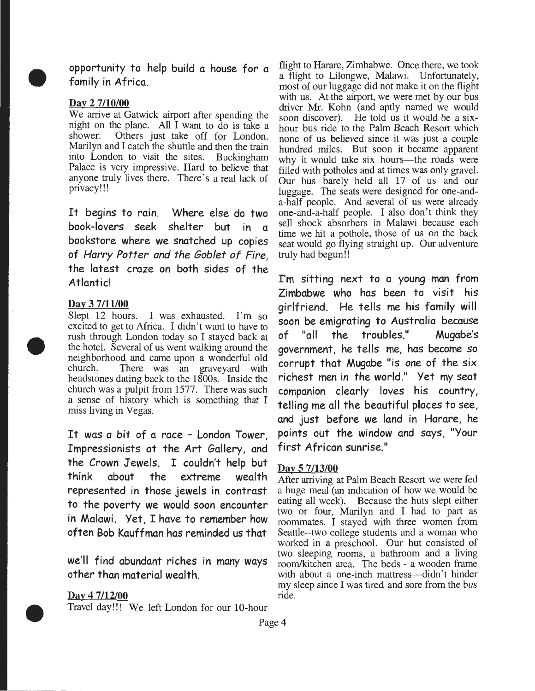•

opportunity to help build a house for a family in Africa.

### Day 2 7/10/00

We arrive at Gatwick airport after spending the night on the plane. All I want to do is take a shower. Others just take off for London. Marilyn and I catch the shuttle and then the train into London to visit the sites. Buckingham Palace is very impressive. Hard to believe that anyone truly lives there. There's a real lack of privacy!!!

It begins to rain. Where else do two book-lovers seek shelter but in a bookstore where we snatched up copies of *Harry Potter and the Goblet of Fire,*  the latest craze on both sides of the Atlantic!

## Day 3 7/11/00

•

•

Slept 12 hours. I was exhausted. I'm so excited to get to Africa. I didn't want to have to rush through London today so I stayed back at the hotel. Several of us went walking around the neighborhood and came upon a wonderful old church. There was an graveyard with headstones dating back to the 1800s. Inside the church was a pulpit from 1577. There was such a sense of history which is something that I miss living in Vegas.

It was a bit of a race - London Tower, Impressionists at the Art Gallery, and the Crown Jewels. I couldn't help but think about the extreme wealth represented in those jewels in contrast to the poverty we would soon encounter in Malawi. Yet, I have to remember how often Bob Kauffman has reminded us that

we'll find abundant riches in many ways other than material wealth.

## Day 4 7/12/00

Travel day!!! We left London for our 10-hour

flight to Harare, Zimbabwe. Once there, we took a flight to Lilongwe, Malawi. Unfortunately, most of our luggage did not make it on the flight with us. At the airport, we were met by our bus driver Mr. Kohn (and aptly named we would soon discover). He told us it would be a sixhour bus ride to the Palm Beach Resort which none of us believed since it was just a couple hundred miles. But soon it became apparent why it would take six hours—the roads were filled with potholes and at times was only gravel. Our bus barely held all 17 of us and our luggage. The seats were designed for one-anda-half people. And several of us were already one-and-a-half people. I also don't think they sell shock absorbers in Malawi because each time we hit a pothole, those of us on the back seat would go flying straight up. Our adventure truly had begun!!

I'm sitting next to a young man from Zimbabwe who has been to visit his girlfriend. He tells me his family will soon be emigrating to Australia because of "all the troubles." Mugabe's government, he tells me, has become so corrupt that Mugabe "is one of the six richest men in the world." Yet my seat companion clearly loves his country, telling me all the beautiful places to see, and just before we land in Harare, he points out the window and says, "Your first African sunrise."

## Day 5 7/13/00

After arriving at Palm Beach Resort we were fed a huge meal (an indication of how we would be eating all week). Because the huts slept either two or four, Marilyn and I had to part as roommates. I stayed with three women from Seattle--two college students and a woman who worked in a preschool. Our hut consisted of two sleeping rooms, a bathroom and a living room/kitchen area. The beds - a wooden frame with about a one-inch mattress—didn't hinder my sleep since I was tired and sore from the bus ride.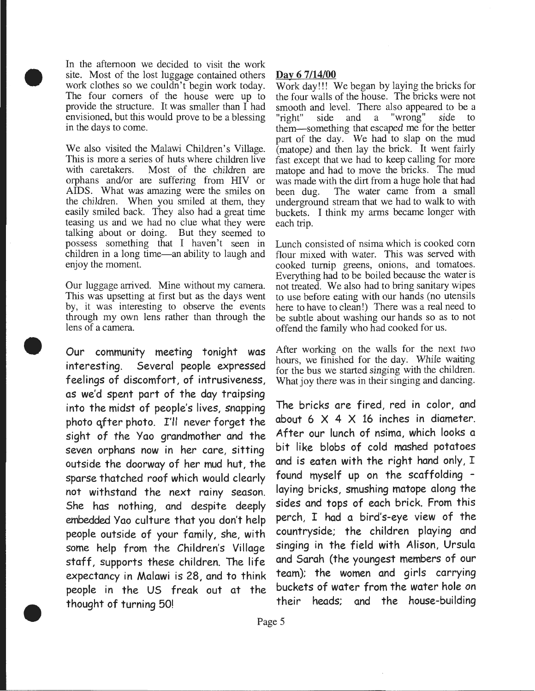In the afternoon we decided to visit the work site. Most of the lost luggage contained others work clothes so we couldn't begin work today. The four comers of the house were up to provide the structure. It was smaller than I had envisioned, but this would prove to be a blessing in the days to come.

•

•

•

We also visited the Malawi Children's Village. This is more a series of huts where children live<br>with caretakers. Most of the children are Most of the children are orphans and/or are suffering from HIV or AIDS. What was amazing were the smiles on the children. When you smiled at them, they easily smiled back. They also had a great time teasing us and we had no clue what they were talking about or doing. But they seemed to possess something that I haven't seen in children in a long time—an ability to laugh and enjoy the moment.

Our luggage arrived. Mine without my camera. This was upsetting at first but as the days went by, it was interesting to observe the events through my own lens rather than through the lens of a camera.

Our community meeting tonight was interesting. Several people expressed feelings of discomfort, of intrusiveness, as we'd spent part of the day traipsing into the midst of people's lives, snapping photo a\_fter photo. I'll never forget the sight of the Yao grandmother and the seven orphans now in her care, sitting outside the doorway of her mud hut, the sparse thatched roof which would clearly not withstand the next rainy season. She has nothing, and despite deeply embedded Yao culture that you don't help people outside of your family, she, with some help from the Children's Village staff, supports these children. The life expectancy in Malawi is 28, and to think people in the US freak out at the thought of turning 50!

## Day 6 7/14/00

Work day!!! We began by laying the bricks for the four walls of the house. The bricks were not smooth and level. There also appeared to be a<br>"right" side and a "wrong" side to "right" side and a them-something that escaped me for the better part of the day. We had to slap on the mud (matope) and then lay the brick. It went fairly fast except that we had to keep calling for more matope and had to move the bricks. The mud was made with the dirt from a huge hole that had been dug. The water came from a small underground stream that we had to walk to with buckets. I think my arms became longer with each trip.

Lunch consisted of nsima which is cooked com flour mixed with water. This was served with cooked turnip greens, onions, and tomatoes. Everything had to be boiled because the water is not treated. We also had to bring sanitary wipes to use before eating with our hands (no utensils here to have to clean!) There was a real need to be subtle about washing our hands so as to not offend the family who had cooked for us .

After working on the walls for the next two hours, we finished for the day. While waiting for the bus we started singing with the children. What joy there was in their singing and dancing.

The bricks are fired, red in color, and about  $6 \times 4 \times 16$  inches in diameter. After our lunch of nsima, which looks a bit like blobs of cold mashed potatoes and is eaten with the right hand only, I found myself up on the scaffolding laying bricks, smushing matope along the sides and tops of each brick. From this perch, I had a bird's-eye view of the countryside; the children playing and singing in the field with Alison, Ursula and Sarah (the youngest members of our team); the women and girls carrying buckets of water from the water hole on their heads; and the house-building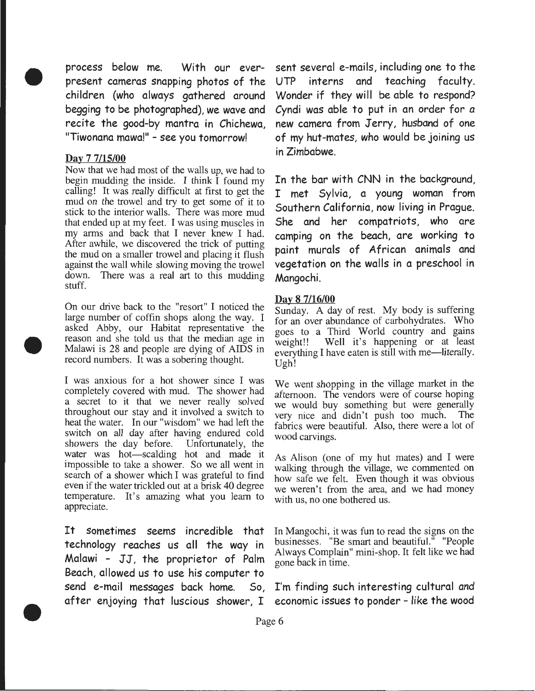**process below me. With our everpresent cameras snapping photos of the children (who always gathered around begging to be photographed), we wave and recite the good-by mantra in Chichewa, <sup>11</sup>Tiwonana mawa! <sup>11</sup> - see you tomorrow!** 

## **Day 7 7/15/00**

•

•

•

Now that we had most of the walls up, we had to begin mudding the inside. I think I found my calling! It was really difficult at first to get the mud on the trowel and try to get some of it to stick to the interior walls. There was more mud that ended up at my feet. I was using muscles in my arms and back that I never knew I had. After awhile, we discovered the trick of putting the mud on a smaller trowel and placing it flush against the wall while slowing moving the trowel down. There was a real art to this mudding stuff.

On our drive back to the "resort" I noticed the large number of coffin shops along the way. I asked Abby, our Habitat representative the reason and she told us that the median age in Malawi is 28 and people are dying of AIDS in record numbers. It was a sobering thought.

I was anxious for a hot shower since I was We went shopping in the village market in the completely covered with mud. The shower had afternoon. The vendors were of course hoping completely covered with mud. The shower had afternoon. The vendors were of course hoping a secret to it that we never really solved we would buy something but were generally a secret to it that we never really solved we would buy something but were generally throughout our stay and it involved a switch to very nice and didn't push too much. The throughout our stay and it involved a switch to very nice and didn't push too much. The heat the water. In our "wisdom" we had left the fabrics were beautiful. Also there were a lot of switch on all day after having endured cold wood carvings.<br>showers the day before. Unfortunately, the showers the day before. water was hot-scalding hot and made it As Alison (one of my hut mates) and I were<br>impossible to take a shower. So we all went in  $\frac{1}{2}$  walking through the village we commented on impossible to take a shower. So we all went in walking through the village, we commented on search of a shower which I was grateful to find  $_{\text{how}}$  safe we felt. Even though it was obvious search of a shower which I was grateful to find how safe we felt. Even though it was obvious even if the water trickled out at a brisk 40 degree we weren't from the area and we had money temperature. It's amazing what you learn to with us, no one bothered us. appreciate.

**It sometimes seems incredible that technology reaches us all the way in Malawi - J J, the proprietor of Palm Beach, allowed us to use his computer to send e-mail messages back home. So, after enjoying that luscious shower, I** 

**sent several e-mails, including one to the UTP interns and teaching faculty.**  Wonder if they will be able to respond? **Cyndi was able to put in an order for a new camera from Jerry, husband of one of my hut-mates, who would be joining us in Zimbabwe.** 

**In the bar with CNN in the background, I met Sylvia, a young woman from Southern California, now living in Prague. She and her compatriots, who are camping on the beach, are working to paint murals of African animals and vegetation on the walls in a preschool in Mangochi.** 

## **Day 8 7/16/00**

Sunday. A day of rest. My body is suffering for an over abundance of carbohydrates. Who goes to a Third World country and gains weight!! Well it's happening or at least everything I have eaten is still with me—literally. Ugh!

fabrics were beautiful. Also, there were a lot of

we weren't from the area, and we had money

In Mangochi, it was fun to read the signs on the businesses. "Be smart and beautiful." "People Always Complain" mini-shop. It felt like we had gone back in time.

**I'm finding such interesting cultural and economic issues to ponder- like the wood**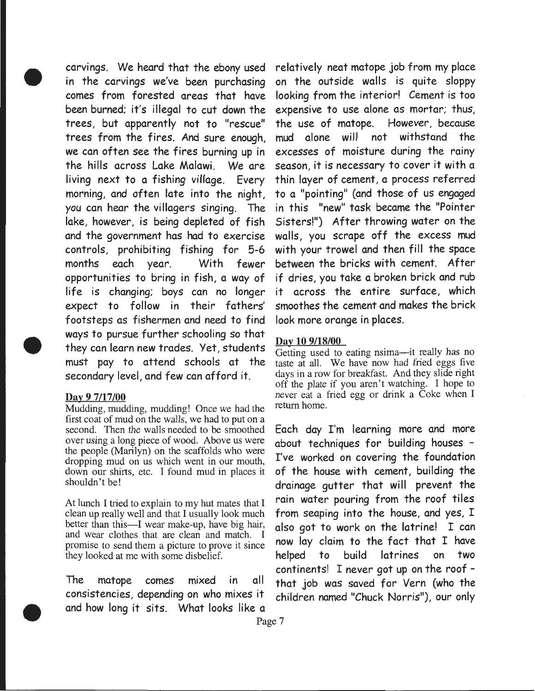carvings. We heard that the ebony used in the carvings we've been purchasing comes from forested areas that have been burned; it's illegal to cut down the trees, but apparently not to "rescue" trees from the fires. And sure enough, we can often see the fires burning up in the hills across Lake Malawi. We are living next to a fishing village. Every morning, and often late into the night, you can hear the villagers singing. The lake, however, is being depleted of fish and the government has had to exercise controls, prohibiting fishing for 5-6 months each year. With fewer opportunities to bring in fish, a way of life is changing; boys can no longer expect to follow in their fathers' footsteps as fishermen and need to find ways to pursue further schooling so that they can learn new trades. Yet, students must pay to attend schools at the secondary level, and few can afford it.

## Day 9 7/17/00

•

•

•

Mudding, mudding, mudding! Once we had the first coat of mud on the walls, we had to put on a second. Then the walls needed to be smoothed over using a long piece of wood. Above us were the people (Marilyn) on the scaffolds who were dropping mud on us which went in our mouth, down our shirts, etc. I found mud in places it shouldn't be!

At lunch I tried to explain to my hut mates that I clean up really well and that I usually look much better than this—I wear make-up, have big hair, and wear clothes that are clean and match. I promise to send them a picture to prove it since they looked at me with some disbelief.

The matope comes mixed in all consistencies, depending on who mixes it and how long it sits. What looks like a relatively neat matope job from my place on the outside walls is quite sloppy looking from the interior! Cement is too expensive to use alone as mortar; thus, the use of matope. However, because mud alone will not withstand the excesses of moisture during the rainy season, it is necessary to cover it with a thin layer of cement, a process referred to a "pointing" (and those of us engaged in this "new" task became the "Pointer Sisters!") After throwing water on the walls, you scrape off the excess mud with your trowel and then fill the space between the bricks with cement. After if dries, you take a broken brick and rub it across the entire surface, which smoothes the cement and makes the brick look more orange in places.

## Day 10 9/18/00

Getting used to eating nsima—it really has no taste at all. We have now had fried eggs five days in a row for breakfast. And they slide right off the plate if you aren't watching. I hope to never eat a fried egg or drink a Coke when I return home.

Each day I'm learning more and more about techniques for building houses - I've worked on covering the foundation of the house with cement, building the drainage gutter that will prevent the rain water pouring from the roof tiles from seaping into the house, and yes, I also got to work on the latrine! I can now lay claim to the fact that I have helped to build latrines on two continents! I never got up on the roofthat job was saved for Vern (who the children named "Chuck Norris"), our only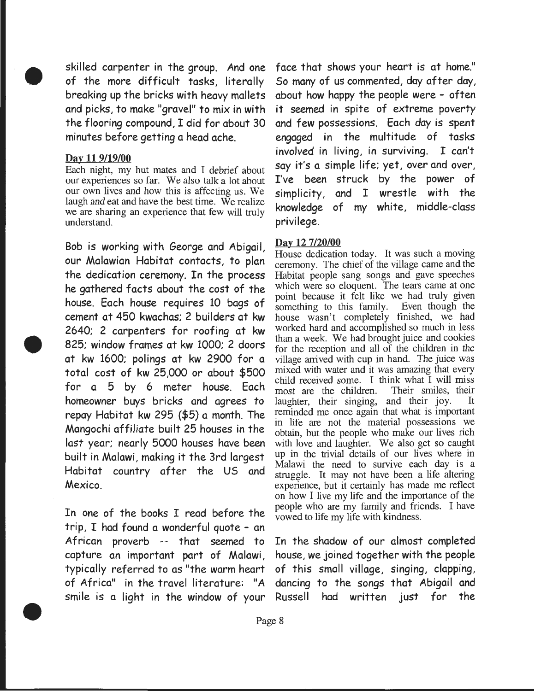skilled carpenter in the group. And one of the more difficult tasks, literally breaking up the bricks with heavy mallets and picks, to make "gravel" to mix in with the flooring compound, I did for about 30 minutes before getting a head ache.

## Day 11 9/19/00

•

•

•

Each night, my hut mates and I debrief about our experiences so far. We also talk a lot about our own lives and how this is affecting us. We laugh and eat and have the best time. We realize we are sharing an experience that few will truly understand.

Bob is working with George and Abigail, our Malawian Habitat contacts, to plan the dedication ceremony. In the process he gathered facts about the cost of the house. Each house requires 10 bags of cement at 450 kwachas; 2 builders at kw 2640; 2 carpenters for roofing at kw 825; window frames at kw 1000; 2 doors at kw 1600; polings at kw 2900 for a total cost of kw 25,000 or about \$500 for a 5 by 6 meter house. Each homeowner buys bricks and agrees to repay Habitat kw 295 (\$5) a month. The Mangochi affiliate built 25 houses in the last year; nearly 5000 houses have been built in Malawi, making it the 3rd largest Habitat country after the US and Mexico.

In one of the books I read before the trip, I had found a wonderful quote- an African proverb -- that seemed to capture an important part of Malawi, typically referred to as "the warm heart of Africa" in the travel literature: "A smile is a light in the window of your

face that shows your heart is at home." So many of us commented, day after day, about how happy the people were - often it seemed in spite of extreme poverty and few possessions. Each day is spent engaged in the multitude of tasks involved in living, in surviving. I can't say it's a simple life; yet, over and over, I've been struck by the power of simplicity, and I wrestle with the knowledge of my white, middle-class privilege.

## Day 12 7/20/00

House dedication today. It was such a moving ceremony. The chief of the village came and the Habitat people sang songs and gave speeches which were so eloquent. The tears came at one point because it felt like we had truly given something to this family. Even though the house wasn't completely finished, we had worked hard and accomplished so much in less than a week. We had brought juice and cookies for the reception and all of the children in the village arrived with cup in hand. The juice was mixed with water and it was amazing that every child received some. I think what I will miss most are the children. Their smiles, their laughter, their singing, and their joy. reminded me once again that what is important in life are not the material possessions we obtain, but the people who make our lives rich with love and laughter. We also get so caught up in the trivial details of our lives where in Malawi the need to survive each day is a struggle. It may not have been a life altering experience, but it certainly has made me reflect on how I live my life and the importance of the people who are my family and friends. I have vowed to life my life with kindness.

In the shadow of our almost completed house, we joined together with the people of this small village, singing, clapping, dancing to the songs that Abigail and Russell had written just for the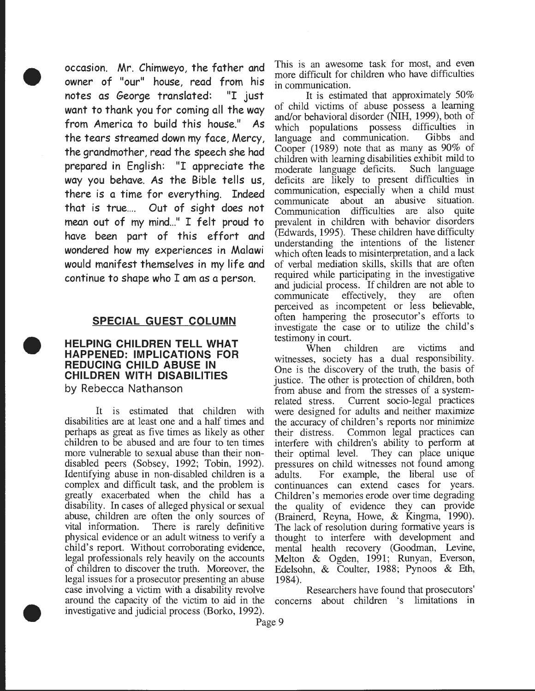occasion. Mr. Chimweyo, the father and owner of "our" house, read from his notes as George translated: "I just want to thank you for coming all the way from America to build this house:' As the tears streamed down my face, Mercy, the grandmother, read the speech she had prepared in English: "I appreciate the way you behave. As the Bible tells us, there is a time for everything. Indeed that is true.... Out of sight does not mean out of my mind..." I felt proud to have been part of this effort and wondered how my experiences in Malawi would manifest themselves in my life and continue to shape who I am as a person.

•

•

•

## **SPECIAL GUEST COLUMN**

## **HELPING CHILDREN TELL WHAT HAPPENED: IMPLICATIONS FOR REDUCING CHILD ABUSE IN CHILDREN WITH DISABILITIES**  by Rebecca Nathanson

It is estimated that children with disabilities are at least one and a half times and perhaps as great as five times as likely as other children to be abused and are four to ten times more vulnerable to sexual abuse than their nondisabled peers (Sobsey, 1992; Tobin, 1992). Identifying abuse in non-disabled children is a complex and difficult task, and the problem is greatly exacerbated when the child has a disability. In cases of alleged physical or sexual abuse, children are often the only sources of vital information. There is rarely definitive physical evidence or an adult witness to verify a child's report. Without corroborating evidence, legal professionals rely heavily on the accounts of children to discover the truth. Moreover, the legal issues for a prosecutor presenting an abuse case involving a victim with a disability revolve around the capacity of the victim to aid in the investigative and judicial process (Borko, 1992).

This is an awesome task for most, and even more difficult for children who have difficulties in communication.

It is estimated that approximately 50% of child victims of abuse possess a learning and/or behavioral disorder (NIH, 1999), both of which populations possess difficulties in language and communication. Gibbs and language and communication. Cooper (1989) note that as many as 90% of children with learning disabilities exhibit mild to moderate language deficits. Such language moderate language deficits. deficits are likely to present difficulties in communication, especially when a child must communicate about an abusive situation. Communication difficulties are also quite prevalent in children with behavior disorders (Edwards, 1995). These children have difficulty understanding the intentions of the listener which often leads to misinterpretation, and a lack of verbal mediation skills, skills that are often required while participating in the investigative and judicial process. If children are not able to communicate effectively, they are often perceived as incompetent or less believable, often hampering the prosecutor's efforts to investigate the case or to utilize the child's

testimony in court.<br>When children are victims and witnesses, society has a dual responsibility. One is the discovery of the truth, the basis of justice. The other is protection of children, both from abuse and from the stresses of a systemrelated stress. Current socio-legal practices were designed for adults and neither maximize the accuracy of children's reports nor minimize their distress. Common legal practices can interfere with children's ability to perform at their optimal level. They can place unique pressures on child witnesses not found among adults. For example, the liberal use of continuances can extend cases for years. Children's memories erode over time degrading the quality of evidence they can provide (Brainerd, Reyna, Howe, & Kingma, 1990). The lack of resolution during formative years is thought to interfere with development and mental health recovery (Goodman, Levine, Melton & Ogden, 1991; Runyan, Everson, Edelsohn, & Coulter, 1988; Pynoos & Eth, 1984).

Researchers have found that prosecutors' concerns about children 's limitations in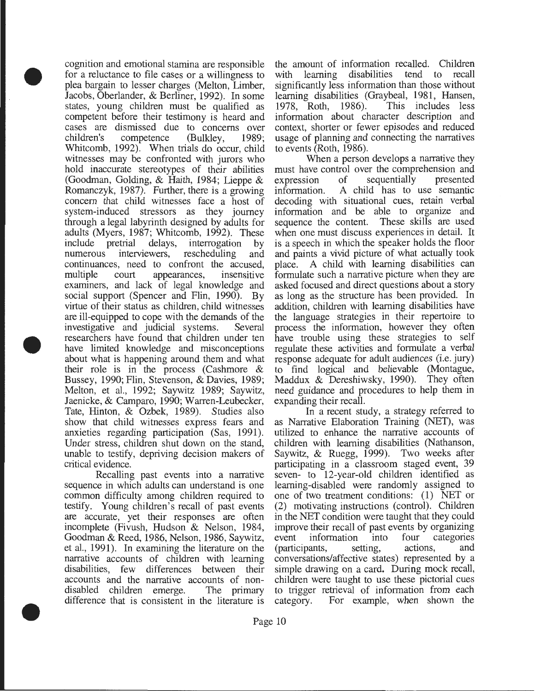cognition and emotional stamina are responsible for a reluctance to file cases or a willingness to plea bargain to lesser charges (Melton, Limber, Jacobs, Oberlander, & Berliner, 1992). In some states, young children must be qualified as competent before their testimony is heard and cases are dismissed due to concerns over children's competence (Bulkley, 1989; Whitcomb, 1992). When trials do occur, child witnesses may be confronted with jurors who hold inaccurate stereotypes of their abilities (Goodman, Golding, & Haith, 1984; Lieppe & Romanczyk, 1987). Further, there is a growing concern that child witnesses face a host of system-induced stressors as they journey through a legal labyrinth designed by adults for adults (Myers, 1987; Whitcomb, 1992). These include pretrial delays, interrogation by numerous interviewers, rescheduling and continuances, need to confront the accused, multiple court appearances, insensitive examiners, and lack of legal knowledge and social support (Spencer and Flin, 1990). By virtue of their status as children, child witnesses are ill-equipped to cope with the demands of the investigative and judicial systems. Several researchers have found that children under ten have limited knowledge and misconceptions about what is happening around them and what their role is in the process (Cashmore & Bussey, 1990; Flin, Stevenson, & Davies, 1989; Melton, et al., 1992; Saywitz 1989; Saywitz, Jaenicke, & Campara, 1990; Warren-Leubecker, Tate, Hinton, & Ozbek, 1989). Studies also show that child witnesses express fears and anxieties regarding participation (Sas, 1991). Under stress, children shut down on the stand, unable to testify, depriving decision makers of critical evidence.

•

•

•

Recalling past events into a narrative sequence in which adults can understand is one common difficulty among children required to testify. Young children's recall of past events are accurate, yet their responses are often incomplete (Fivush, Hudson & Nelson, 1984, Goodman & Reed, 1986, Nelson, 1986, Saywitz, et al., 1991). In examining the literature on the narrative accounts of children with learning disabilities, few differences between their accounts and the narrative accounts of nondisabled children emerge. The primary difference that is consistent in the literature is

the amount of information recalled. Children with learning disabilities tend to recall significantly less information than those without learning disabilities (Graybeal, 1981, Hansen, 1978, Roth, 1986). This includes less 1978, Roth, 1986). information about character description and context, shorter or fewer episodes and reduced usage of planning and connecting the narratives to events (Roth, 1986).

When a person develops a narrative they must have control over the comprehension and<br>expression of sequentially presented expression of sequentially information. A child has to use semantic decoding with situational cues, retain verbal information and be able to organize and sequence the content. These skills are used when one must discuss experiences in detail. It is a speech in which the speaker holds the floor and paints a vivid picture of what actually took place. A child with learning disabilities can formulate such a narrative picture when they are asked focused and direct questions about a story as long as the structure has been provided. In addition, children with learning disabilities have the language strategies in their repertoire to process the information, however they often have trouble using these strategies to self regulate these activities and formulate a verbal response adequate for adult audiences (i.e. jury) to find logical and believable (Montague, Maddux & Dereshiwsky, 1990). They often need guidance and procedures to help them in expanding their recall.

In a recent study, a strategy referred to as Narrative Elaboration Training (NET), was utilized to enhance the narrative accounts of children with learning disabilities (Nathanson, Saywitz, & Ruegg, 1999). Two weeks after participating in a classroom staged event, 39 seven- to 12-year-old children identified as learning-disabled were randomly assigned to one of two treatment conditions: (1) NET or (2) motivating instructions (control). Children in the NET condition were taught that they could improve their recall of past events by organizing event information (participants, setting, actions, and conversations/affective states) represented by a simple drawing on a card. During mock recall, children were taught to use these pictorial cues to trigger retrieval of information from each category. For example, when shown the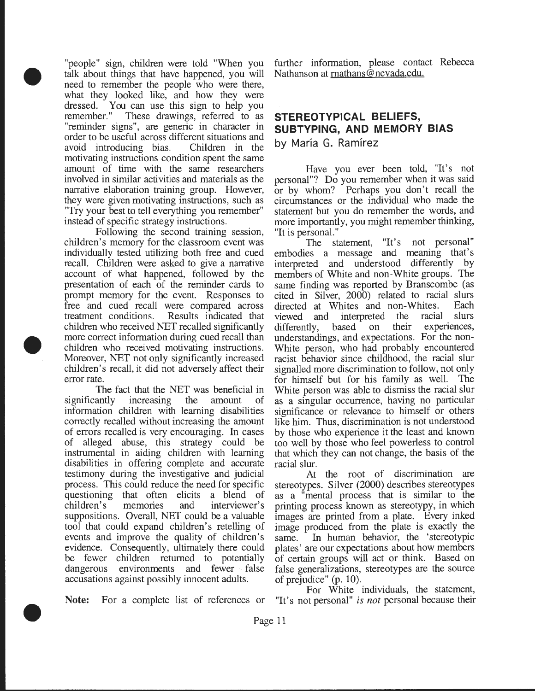"people" sign, children were told "When you talk about things that have happened, you will need to remember the people who were there, what they looked like, and how they were dressed. You can use this sign to help you remember." These drawings, referred to as These drawings, referred to as "reminder signs", are generic in character in order to be useful across different situations and avoid introducing bias. Children in the motivating instructions condition spent the same amount of time with the same researchers involved in similar activities and materials as the narrative elaboration training group. However, they were given motivating instructions, such as "Try your best to tell everything you remember" instead of specific strategy instructions.

•

•

•

Following the second training session, children's memory for the classroom event was individually tested utilizing both free and cued recall. Children were asked to give a narrative account of what happened, followed by the presentation of each of the reminder cards to prompt memory for the event. Responses to free and cued recall were compared across treatment conditions. Results indicated that children who received NET recalled significantly more correct information during cued recall than children who received motivating instructions. Moreover, NET not only significantly increased children's recall, it did not adversely affect their error rate.

The fact that the NET was beneficial in significantly increasing the amount of information children with learning disabilities correctly recalled without increasing the amount of errors recalled is very encouraging. In cases of alleged abuse, this strategy could be instrumental in aiding children with learning disabilities in offering complete and accurate testimony during the investigative and judicial process. This could reduce the need for specific questioning that often elicits a blend of children's memories and interviewer's suppositions. Overall, NET could be a valuable tool that could expand children's retelling of events and improve the quality of children's evidence. Consequently, ultimately there could be fewer children returned to potentially dangerous environments and fewer false accusations against possibly innocent adults.

Note: For a complete list of references or

further information, please contact Rebecca Nathanson at mathans@nevada.edu.

## **STEREOTYPICAL BELIEFS, SUBTYPING, AND MEMORY BIAS**  by María G. Ramírez

Have you ever been told, "It's not personal"? Do you remember when it was said or by whom? Perhaps you don't recall the circumstances or the individual who made the statement but you do remember the words, and more importantly, you might remember thinking, "It is personal."

The statement, "It's not personal" embodies a message and meaning that's interpreted and understood differently by members of White and non-White groups. The same finding was reported by Branscombe (as cited in Silver, 2000) related to racial slurs directed at Whites and non-Whites. Each viewed and interpreted the racial slurs differently, based on their experiences, understandings, and expectations. For the non-White person, who had probably encountered racist behavior since childhood, the racial slur signalled more discrimination to follow, not only for himself but for his family as well. The White person was able to dismiss the racial slur as a singular occurrence, having no particular significance or relevance to himself or others like him. Thus, discrimination is not understood by those who experience it the least and known too well by those who feel powerless to control that which they can not change, the basis of the racial slur.

At the root of discrimination are stereotypes. Silver (2000) describes stereotypes as a "mental process that is similar to the printing process known as stereotypy, in which images are printed from a plate. Every inked image produced from the plate is exactly the same. In human behavior, the 'stereotypic plates' are our expectations about how members of certain groups will act or think. Based on false generalizations, stereotypes are the source of prejudice" (p. 10).

For White individuals, the statement, "It's not personal" *is not* personal because their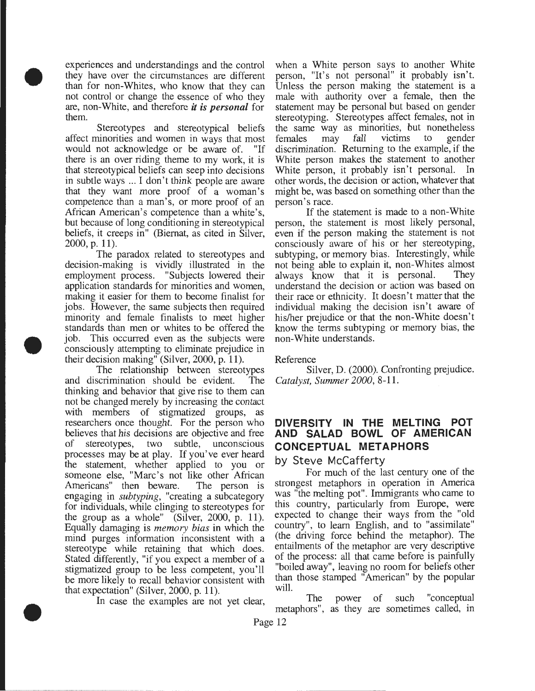experiences and understandings and the control they have over the circumstances are different than for non-Whites, who know that they can not control or change the essence of who they are, non-White, and therefore *it is personal* for them.

•

•

•

Stereotypes and stereotypical beliefs affect minorities and women in ways that most would not acknowledge or be aware of. "If there is an over riding theme to my work, it is that stereotypical beliefs can seep into decisions in subtle ways ... I don't think people are aware that they want more proof of a woman's competence than a man's, or more proof of an African American's competence than a white's, but because of long conditioning in stereotypical beliefs, it creeps in" (Biernat, as cited in Silver, 2000, p. 11).

The paradox related to stereotypes and decision-making is vividly illustrated in the employment process. "Subjects lowered their application standards for minorities and women, making it easier for them to become finalist for jobs. However, the same subjects then required minority and female finalists to meet higher standards than men or whites to be offered the job. This occurred even as the subjects were consciously attempting to eliminate prejudice in their decision making" (Silver, 2000, p. 11).

The relationship between stereotypes and discrimination should be evident. The thinking and behavior that give rise to them can not be changed merely by increasing the contact with members of stigmatized groups, as researchers once thought. For the person who believes that his decisions are objective and free of stereotypes, two subtle, unconscious processes may be at play. If you've ever heard the statement, whether applied to you or someone else, "Marc's not like other African Americans" then beware. The person is engaging in *subtyping,* "creating a subcategory for individuals, while clinging to stereotypes for the group as a whole" (Silver, 2000, p. 11). Equally damaging is *memory bias* in which the mind purges information inconsistent with a stereotype while retaining that which does. Stated differently, "if you expect a member of a stigmatized group to be less competent, you'll be more likely to recall behavior consistent with that expectation" (Silver, 2000, p. 11).

In case the examples are not yet clear,

when a White person says to another White person, "It's not personal" it probably isn't. Unless the person making the statement is a male with authority over a female, then the statement may be personal but based on gender stereotyping. Stereotypes affect females, not in the same way as minorities, but nonetheless<br>females may fall victims to gender females may fall victims to discrimination. Returning to the example, if the White person makes the statement to another White person, it probably isn't personal. In other words, the decision or action, whatever that might be, was based on something other than the person's race.

If the statement is made to a non-White person, the statement is most likely personal, even if the person making the statement is not consciously aware of his or her stereotyping, subtyping, or memory bias. Interestingly, while not being able to explain it, non-Whites almost<br>always know that it is personal. They always know that it is personal. understand the decision or action was based on their race or ethnicity. It doesn't matter that the individual making the decision isn't aware of his/her prejudice or that the non-White doesn't know the terms subtyping or memory bias, the non-White understands .

#### Reference

Silver, D. (2000). Confronting prejudice. *Catalyst, Summer 2000,* 8-11.

## **DIVERSITY IN THE MELTING POT AND SALAD BOWL OF AMERICAN CONCEPTUAL METAPHORS**

by Steve McCafferty

For much of the last century one of the strongest metaphors in operation in America was "the melting pot". Immigrants who came to this country, particularly from Europe, were expected to change their ways from the "old country", to learn English, and to "assimilate" (the driving force behind the metaphor). The entailments of the metaphor are very descriptive of the process: all that came before is painfully "boiled away", leaving no room for beliefs other than those stamped "American" by the popular will.

The power of such "conceptual metaphors", as they are sometimes called, in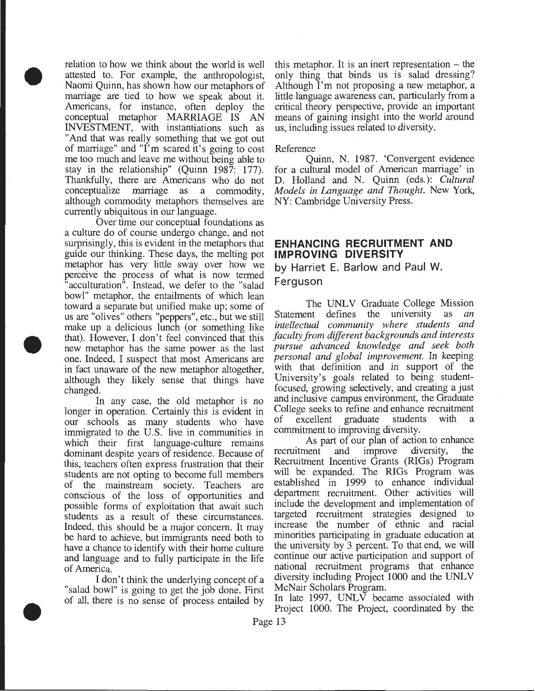relation to how we think about the world is well attested to. For example, the anthropologist, Naomi Quinn, has shown how our metaphors of marriage are tied to how we speak about it. Americans, for instance, often deploy the conceptual metaphor MARRIAGE IS AN INVESTMENT, with instantiations such as "And that was really something that we got out of marriage" and "I'm scared it's going to cost me too much and leave me without being able to stay in the relationship" (Quinn 1987: 177). Thankfully, there are Americans who do not conceptualize marriage as a commodity, although commodity metaphors themselves are currently ubiquitous in our language.

•

•

•

Over time our conceptual foundations as a culture do of course undergo change, and not surprisingly, this is evident in the metaphors that guide our thinking. These days, the melting pot metaphor has very little sway over how we perceive the process of what is now termed acculturation". Instead, we defer to the "salad bowl" metaphor, the entailments of which lean toward a separate but unified make up; some of us are "olives" others "peppers", etc., but we still make up a delicious lunch (or something like that). However, I don't feel convinced that this new metaphor has the same power as the last one. Indeed, I suspect that most Americans are in fact unaware of the new metaphor altogether, although they likely sense that things have changed.

In any case, the old metaphor is no longer in operation. Certainly this is evident in our schools as many students who have immigrated to the U.S. live in communities in which their first language-culture remains dominant despite years of residence. Because of this, teachers often express frustration that their students are not opting to become full members of the mainstream society. Teachers are conscious of the loss of opportunities and possible forms of exploitation that await such students as a result of these circumstances. Indeed, this should be a major concern. It may be hard to achieve, but immigrants need both to have a chance to identify with their home culture and language and to fully participate in the life of America.

I don't think the underlying concept of a "salad bowl" is going to get the job done. First of all, there is no sense of process entailed by this metaphor. It is an inert representation  $-$  the only thing that binds us is salad dressing? Although I'm not proposing a new metaphor, a little language awareness can, particularly from a critical theory perspective, provide an important means of gaining insight into the world around us, including issues related to diversity.

#### Reference

Quinn, N. 1987. 'Convergent evidence for a cultural model of American marriage' in D. Holland and N. Quinn (eds.): *Cultural Models in Language and Thought.* New York, NY: Cambridge University Press.

## **ENHANCING RECRUITMENT AND IMPROVING DIVERSITY**

**by Harriet E. Barlow and Paul W. Ferguson** 

The UNLV Graduate College Mission<br>ent defines the university as *an* Statement defines the university *intellectual community where students and faculty from different backgrounds and interests pursue advanced knowledge and seek both personal and global improvement.* In keeping with that definition and in support of the University's goals related to being studentfocused, growing selectively, and creating a just and inclusive campus environment, the Graduate College seeks to refine and enhance recruitment of excellent graduate students with commitment to improving diversity.

As part of our plan of action to enhance recruitment and improve diversity, the Recruitment Incentive Grants (RIGs) Program will be expanded. The RIGs Program was established in 1999 to enhance individual department recruitment. Other activities will include the development and implementation of targeted recruitment strategies designed to increase the number of ethnic and racial minorities participating in graduate education at the university by 3 percent. To that end, we will continue our active participation and support of national recruitment programs that enhance diversity including Project 1000 and the UNL V McNair Scholars Program.

In late 1997, UNLV became associated with Project 1000. The Project, coordinated by the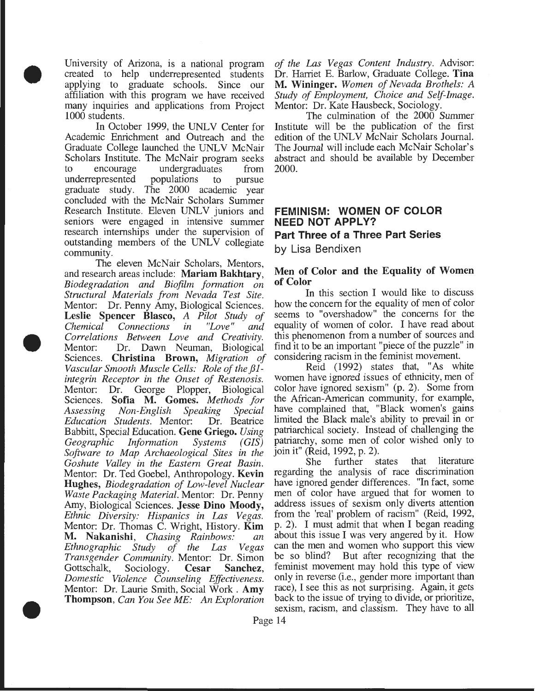University of Arizona, is a national program created to help underrepresented students applying to graduate schools. Since our affiliation with this program we have received many inquiries and applications from Project 1000 students.

•

•

•

In October 1999, the UNLV Center for Academic Enrichment and Outreach and the Graduate College launched the UNLV McNair Scholars Institute. The McNair program seeks to encourage undergraduates from underrepresented populations to pursue graduate study. The 2000 academic year concluded with the McNair Scholars Summer Research Institute. Eleven UNLV juniors and seniors were engaged in intensive summer research internships under the supervision of outstanding members of the UNLV collegiate community.

The eleven McNair Scholars, Mentors, and research areas include: Mariam Bakhtary, *Biodegradation and Biofilm formation on Structural Materials from Nevada Test Site.*  Mentor: Dr. Penny Amy, Biological Sciences. Leslie Spencer Blasco, *A Pilot Study of Chemical Connections in "Love" and Correlations Between Love and Creativity.* Mentor: Dr. Dawn Neuman, Biological Sciences. Christina Brown, *Migration of Vascular Smooth Muscle Cells: Role of the*  $\beta$ *1integrin Receptor in the Onset of Restenosis.*  Mentor: Dr. George Plopper, Biological Sciences. Sofia M. Gomes. *Methods for Assessing Non-English Speaking Special Education Students.* Mentor: Dr. Beatrice Babbitt, Special Education. Gene Griego. *Using Geographic Information Systems (GIS) Software to Map Archaeological Sites in the Goshute Valley in the Eastern Great Basin.*  Mentor: Dr. Ted Goebel, Anthropology. Kevin Hughes, *Biodegradation of Low-level Nuclear Waste Packaging Material.* Mentor: Dr. Penny Amy, Biological Sciences. Jesse Dino Moody, *Ethnic Diversity: Hispanics in Las Vegas.*  Mentor: Dr. Thomas C. Wright, History. Kim M. Nakanishi, *Chasing Rainbows: an Ethnographic Study of the Las Vegas Transgender Community.* Mentor: Dr. Simon Gottschalk, Sociology. Cesar Sanchez, *Domestic Violence Counseling Effectiveness.*  Mentor: Dr. Laurie Smith, Social Work . Amy Thompson, *Can You See ME: An Exploration* 

*of the Las Vegas Content Industry.* Advisor: Dr. Harriet E. Barlow, Graduate College. Tina M. Wininger. *Women of Nevada Brothels: A Study of Employment, Choice and Self-Image.*  Mentor: Dr. Kate Hausbeck, Sociology.

The culmination of the 2000 Summer Institute will be the publication of the first edition of the UNLV McNair Scholars Journal. The Journal will include each McNair Scholar's abstract and should be available by December 2000.

## **FEMINISM: WOMEN OF COLOR NEED NOT APPLY?**

# **Part Three of a Three Part Series**

by Lisa Bendixen

## Men of Color and the Equality of Women of Color

In this section I would like to discuss how the concern for the equality of men of color seems to "overshadow" the concerns for the equality of women of color. I have read about this phenomenon from a number of sources and find it to be an important "piece of the puzzle" in considering racism in the feminist movement.

Reid (1992) states that, "As white women have ignored issues of ethnicity, men of color have ignored sexism" (p. 2). Some from the African-American community, for example, have complained that, "Black women's gains limited the Black male's ability to prevail in or patriarchical society. Instead of challenging the patriarchy, some men of color wished only to join it" (Reid, 1992, p. 2).

She further states that literature regarding the analysis of race discrimination have ignored gender differences. "In fact, some men of color have argued that for women to address issues of sexism only diverts attention from the 'real' problem of racism" (Reid, 1992, p. 2). I must admit that when I began reading about this issue I was very angered by it. How can the men and women who support this view be so blind? But after recognizing that the feminist movement may hold this type of view only in reverse (i.e., gender more important than race), I see this as not surprising. Again, it gets back to the issue of trying to divide, or prioritize, sexism, racism, and classism. They have to all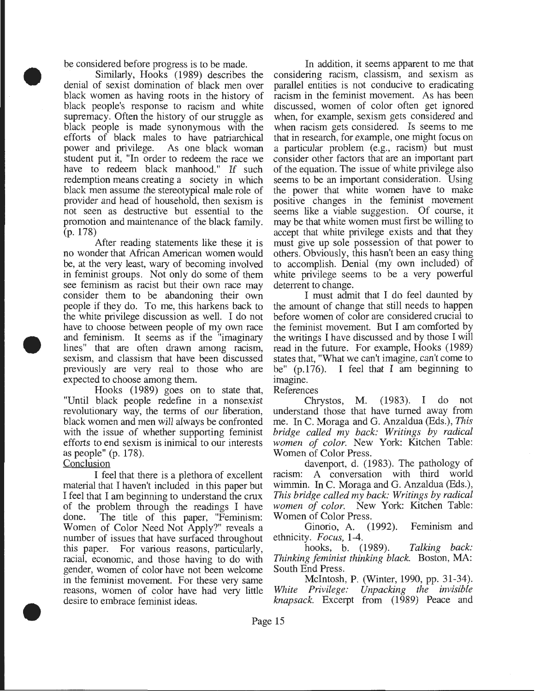be considered before progress is to be made.

• Similarly, Hooks (1989) describes the denial of sexist domination of black men over black women as having roots in the history of black people's response to racism and white supremacy. Often the history of our struggle as black people is made synonymous with the efforts of black males to have patriarchical power and privilege. As one black woman student put it, "In order to redeem the race we have to redeem black manhood." If such redemption means creating a society in which black men assume the stereotypical male role of provider and head of household, then sexism is not seen as destructive but essential to the promotion and maintenance of the black family. (p. 178)

> After reading statements like these it is no wonder that African American women would be, at the very least, wary of becoming involved in feminist groups. Not only do some of them see feminism as racist but their own race may consider them to be abandoning their own people if they do. To me, this harkens back to the white privilege discussion as well. I do not have to choose between people of my own race and feminism. It seems as if the "imaginary lines" that are often drawn among racism, sexism, and classism that have been discussed previously are very real to those who are expected to choose among them.

> Hooks (1989) goes on to state that, "Until black people redefine in a nonsexist revolutionary way, the terms of our liberation, black women and men will always be confronted with the issue of whether supporting feminist efforts to end sexism is inimical to our interests as people" (p. 178).

**Conclusion** 

•

•

I feel that there is a plethora of excellent material that I haven't included in this paper but I feel that I am beginning to understand the crux of the problem through the readings I have done. The title of this paper, "Feminism: Women of Color Need Not Apply?" reveals a number of issues that have surfaced throughout this paper. For various reasons, particularly, racial, economic, and those having to do with gender, women of color have not been welcome in the feminist movement. For these very same reasons, women of color have had very little desire to embrace feminist ideas.

In addition, it seems apparent to me that considering racism, classism, and sexism as parallel entities is not conducive to eradicating racism in the feminist movement. As has been discussed, women of color often get ignored when, for example, sexism gets considered and when racism gets considered. Is seems to me that in research, for example, one might focus on a particular problem (e.g., racism) but must consider other factors that are an important part of the equation. The issue of white privilege also seems to be an important consideration. Using the power that white women have to make positive changes in the feminist movement seems like a viable suggestion. Of course, it may be that white women must first be willing to accept that white privilege exists and that they must give up sole possession of that power to others. Obviously, this hasn't been an easy thing to accomplish. Denial (my own included) of white privilege seems to be a very powerful deterrent to change.

I must admit that I do feel daunted by the amount of change that still needs to happen before women of color are considered crucial to the feminist movement. But I am comforted by the writings I have discussed and by those I will read in the future. For example, Hooks (1989) states that, "What we can't imagine, can't come to be" (p.176). I feel that I am beginning to imagine.

References

Chrystos, M. (1983). I do not understand those that have turned away from me. In C. Moraga and G. Anzaldua (Eds.), *This bridge called my back: Writings by radical women of color.* New York: Kitchen Table: Women of Color Press.

davenport, d. (1983). The pathology of racism: A conversation with third world wimmin. In C. Moraga and G. Anzaldua (Eds.), *This bridge called my back: Writings by radical women of color.* New York: Kitchen Table:

Women of Color Press.<br>Ginorio, A. (1992). Ginorio, A. (1992). Feminism and ethnicity. *Focus,* 1-4.

hooks, b. (1989). *Talking back: Thinking feminist thinking black.* Boston, MA: South End Press.

Mcintosh, P. (Winter, 1990, pp. 31-34). *White Privilege: Unpacking the invisible knapsack.* Excerpt from (1989) Peace and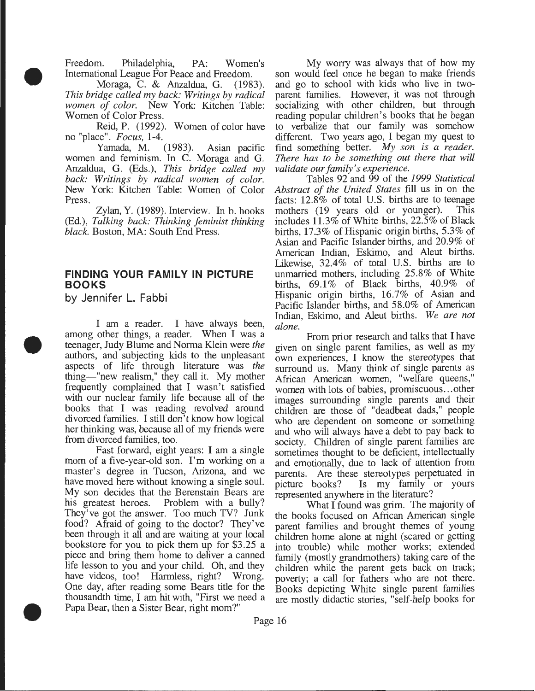Freedom. Philadelphia, PA: Women's International League For Peace and Freedom.

Moraga, C. & Anzaldua, G. (1983). *This bridge called my back: Writings by radical women of color.* New York: Kitchen Table: Women of Color Press.

Reid, P. (1992). Women of color have no "place". *Focus,* 1-4.

Yamada, M. (1983). Asian pacific women and feminism. In C. Moraga and G. Anzaldua, G. (Eds.), *This bridge called my back: Writings by radical women of color.*  New York: Kitchen Table: Women of Color Press.

Zylan, Y. (1989). Interview. In b. hooks (Ed.), *Talking back: Thinking feminist thinking black.* Boston, MA: South End Press.

## **FINDING YOUR FAMILY IN PICTURE BOOKS**

by Jennifer L. Fabbi

•

•

•

I am a reader. I have always been, among other things, a reader. When I was a teenager, Judy Blume and Norma Klein were *the*  authors, and subjecting kids to the unpleasant aspects of life through literature was *the*  thing-"new realism," they call it. My mother frequently complained that I wasn't satisfied with our nuclear family life because all of the books that I was reading revolved around divorced families. I still don't know how logical her thinking was, because all of my friends were from divorced families, too.

Fast forward, eight years: I am a single mom of a five-year-old son. I'm working on a master's degree in Tucson, Arizona, and we have moved here without knowing a single soul. My son decides that the Berenstain Bears are his greatest heroes. Problem with a bully? They've got the answer. Too much TV? Junk food? Afraid of going to the doctor? They've been through it all and are waiting at your local bookstore for you to pick them up for \$3.25 a piece and bring them home to deliver a canned life lesson to you and your child. Oh, and they have videos, too! Harmless, right? Wrong. One day, after reading some Bears title for the thousandth time, I am hit with, "First we need a Papa Bear, then a Sister Bear, right mom?"

My worry was always that of how my son would feel once he began to make friends and go to school with kids who live in twoparent families. However, it was not through socializing with other children, but through reading popular children's books that he began to verbalize that our family was somehow different. Two years ago, I began my quest to find something better. *My son is a reader. There has to be something out there that will validate our family's experience.* 

Tables 92 and 99 of the *1999 Statistical Abstract of the United States* fill us in on the facts: 12.8% of total U.S. births are to teenage mothers (19 years old or younger). This includes 11.3% of White births, 22.5% of Black births, 17.3% of Hispanic origin births, 5.3% of Asian and Pacific Islander births, and 20.9% of American Indian, Eskimo, and Aleut births. Likewise, 32.4% of total U.S. births are to unmarried mothers, including 25.8% of White births, 69.1% of Black births, 40.9% of Hispanic origin births, 16.7% of Asian and Pacific Islander births, and 58.0% of American Indian, Eskimo, and Aleut births. *We are not alone.* 

From prior research and talks that I have given on single parent families, as well as my own experiences, I know the stereotypes that surround us. Many think of single parents as African American women, "welfare queens," women with lots of babies, promiscuous ... other images surrounding single parents and their children are those of "deadbeat dads," people who are dependent on someone or something and who will always have a debt to pay back to society. Children of single parent families are sometimes thought to be deficient, intellectually and emotionally, due to lack of attention from parents. Are these stereotypes perpetuated in picture books? Is my family or yours represented anywhere in the literature?

What I found was grim. The majority of the books focused on African American single parent families and brought themes of young children home alone at night (scared or getting into trouble) while mother works; extended family (mostly grandmothers) taking care of the children while the parent gets back on track; poverty; a call for fathers who are not there. Books depicting White single parent families are mostly didactic stories, "self-help books for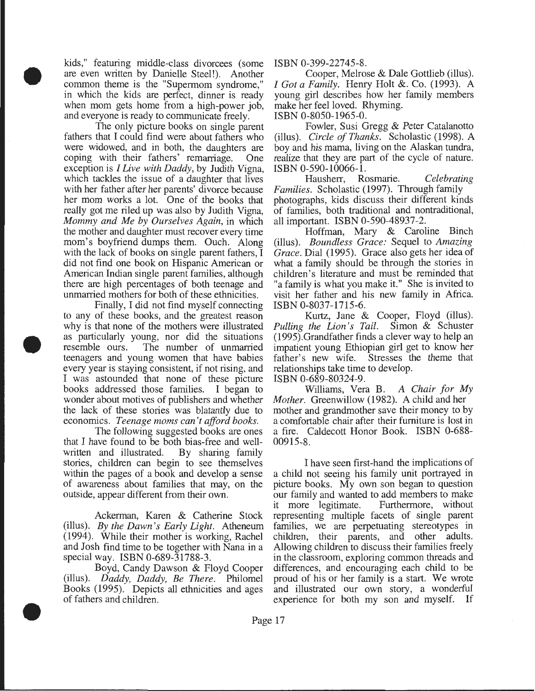kids," featuring middle-class divorcees (some are even written by Danielle Steel!). Another common theme is the "Supermom syndrome," in which the kids are perfect, dinner is ready when mom gets home from a high-power job, and everyone is ready to communicate freely.

•

•

•

The only picture books on single parent fathers that I could find were about fathers who were widowed, and in both, the daughters are coping with their fathers' remarriage. One exception is *I Live with Daddy,* by Judith Vigna, which tackles the issue of a daughter that lives with her father after her parents' divorce because her mom works a lot. One of the books that really got me riled up was also by Judith Vigna, *Mommy and Me by Ourselves Again,* in which the mother and daughter must recover every time mom's boyfriend dumps them. Ouch. Along with the lack of books on single parent fathers, I did not find one book on Hispanic American or American Indian single parent families, although there are high percentages of both teenage and unmarried mothers for both of these ethnicities.

Finally, I did not find myself connecting to any of these books, and the greatest reason why is that none of the mothers were illustrated as particularly young, nor did the situations resemble ours. The number of unmarried teenagers and young women that have babies every year is staying consistent, if not rising, and I was astounded that none of these picture books addressed those families. I began to wonder about motives of publishers and whether the lack of these stories was blatantly due to economics. *Teenage moms can't afford books.* 

The following suggested books are ones that I have found to be both bias-free and wellwritten and illustrated. By sharing family stories, children can begin to see themselves within the pages of a book and develop a sense of awareness about families that may, on the outside, appear different from their own.

Ackerman, Karen & Catherine Stock (illus). *By the Dawn's Early Light.* Atheneum (1994). While their mother is working, Rachel and Josh find time to be together with Nana in a special way. ISBN 0-689-31788-3.

Boyd, Candy Dawson & Floyd Cooper (illus). *Daddy, Daddy, Be There.* Philomel Books (1995). Depicts all ethnicities and ages of fathers and children .

ISBN 0-399-22745-8 .

Cooper, Melrose & Dale Gottlieb (illus). *I Got a Family.* Henry Holt&. Co. (1993). A young girl describes how her family members make her feel loved. Rhyming. ISBN 0-8050-1965-0.

Fowler, Susi Gregg & Peter Catalanotto (illus). *Circle of Thanks.* Scholastic (1998). A boy and his mama, living on the Alaskan tundra, realize that they are part of the cycle of nature. ISBN 0-590-10066-1.

Hausherr, Rosmarie. *Celebrating Families.* Scholastic (1997). Through family photographs, kids discuss their different kinds of families, both traditional and nontraditional, all important. ISBN 0-590-48937-2.

Hoffman, Mary & Caroline Binch (illus). *Boundless Grace:* Sequel to *Amazing Grace.* Dial (1995). Grace also gets her idea of what a family should be through the stories in children's literature and must be reminded that "a family is what you make it." She is invited to visit her father and his new family in Africa. ISBN 0-8037-1715-6.

Kurtz, Jane & Cooper, Floyd (illus). *Pulling the Lion's Tail.* Simon & Schuster (1995).Grandfather finds a clever way to help an impatient young Ethiopian girl get to know her father's new wife. Stresses the theme that relationships take time to develop.

ISBN 0-689-80324-9.

Williams, Vera B. *A Chair for My Mother.* Greenwillow (1982). A child and her mother and grandmother save their money to by a comfortable chair after their furniture is lost in a fire. Caldecott Honor Book. ISBN 0-688- 00915-8.

I have seen first-hand the implications of a child not seeing his family unit portrayed in picture books. My own son began to question our family and wanted to add members to make it more legitimate. Furthermore, without representing multiple facets of single parent families, we are perpetuating stereotypes in children, their parents, and other adults. Allowing children to discuss their families freely in the classroom, exploring common threads and differences, and encouraging each child to be proud of his or her family is a start. We wrote and illustrated our own story, a wonderful experience for both my son and myself. If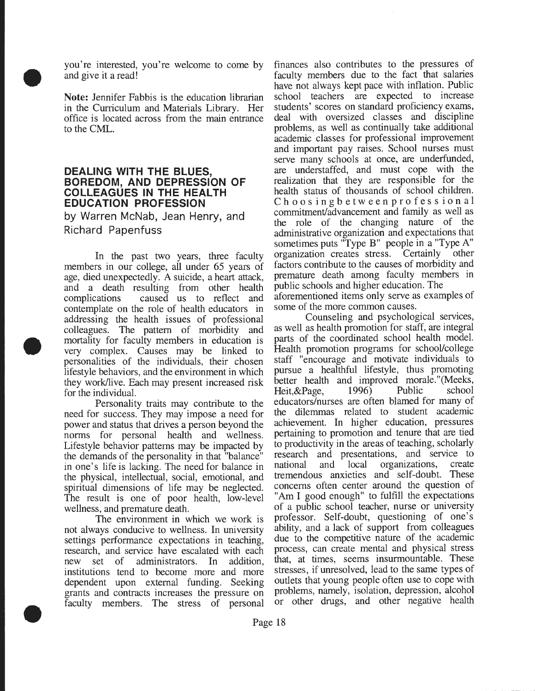you're interested, you're welcome to come by and give it a read!

•

•

•

Note: Jennifer Fabbis is the education librarian in the Curriculum and Materials Library. Her office is located across from the main entrance to the CML.

## **DEALING WITH THE BLUES, BOREDOM, AND DEPRESSION OF COLLEAGUES IN THE HEALTH EDUCATION PROFESSION**

by Warren McNab, Jean Henry, and Richard Papenfuss

In the past two years, three faculty members in our college, all under 65 years of age, died unexpectedly. A suicide, a heart attack, and a death resulting from other health complications caused us to reflect and contemplate on the role of health educators in addressing the health issues of professional colleagues. The pattern of morbidity and mortality for faculty members in education is very complex. Causes may be linked to personalities of the individuals, their chosen lifestyle behaviors, and the environment in which they work/live. Each may present increased risk for the individual.

Personality traits may contribute to the need for success. They may impose a need for power and status that drives a person beyond the norms for personal health and wellness. Lifestyle behavior patterns may be impacted by the demands of the personality in that "balance" in one's life is lacking. The need for balance in the physical, intellectual, social, emotional, and spiritual dimensions of life may be neglected. The result is one of poor health, low-level wellness, and premature death.

The environment in which we work is not always conducive to wellness. In university settings performance expectations in teaching, research, and service have escalated with each new set of administrators. In addition, institutions tend to become more and more dependent upon external funding. Seeking grants and contracts increases the pressure on faculty members. The stress of personal

finances also contributes to the pressures of faculty members due to the fact that salaries have not always kept pace with inflation. Public school teachers are expected to increase students' scores on standard proficiency exams, deal with oversized classes and discipline problems, as well as continually take additional academic classes for professional improvement and important pay raises. School nurses must serve many schools at once, are underfunded, are understaffed, and must cope with the realization that they are responsible for the health status of thousands of school children. Ch oos ingb etween profess ion al commitment/advancement and family as well as the role of the changing nature of the administrative organization and expectations that sometimes puts "Type B" people in a "Type A" organization creates stress. Certainly other factors contribute to the causes of morbidity and premature death among faculty members in public schools and higher education. The aforementioned items only serve as examples of some of the more common causes.

Counseling and psychological services, as well as health promotion for staff, are integral parts of the coordinated school health model. Health promotion programs for school/college staff "encourage and motivate individuals to pursue a healthful lifestyle, thus promoting better health and improved morale." (Meeks, Heit,&Page, 1996) Public school educators/nurses are often blamed for many of the dilemmas related to student academic achievement. In higher education, pressures pertaining to promotion and tenure that are tied to productivity in the areas of teaching, scholarly research and presentations, and service to national and local organizations, create tremendous anxieties and self-doubt. These concerns often center around the question of "Am I good enough" to fulfill the expectations of a public school teacher, nurse or university professor. Self-doubt, questioning of one's ability, and a lack of support from colleagues due to the competitive nature of the academic process, can create mental and physical stress that, at times, seems insurmountable. These stresses, if unresolved, lead to the same types of outlets that young people often use to cope with problems, namely, isolation, depression, alcohol or other drugs, and other negative health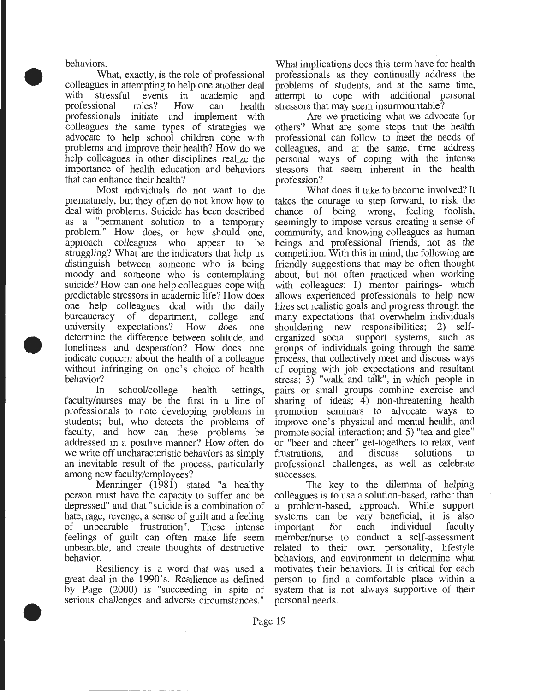behaviors.

•

•

• What, exactly, is the role of professional colleagues in attempting to help one another deal<br>with stressful events in academic and events in academic and professional roles? How can health professionals initiate and implement with colleagues the same types of strategies we advocate to help school children cope with problems and improve their health? How do we help colleagues in other disciplines realize the importance of health education and behaviors that can enhance their health?

Most individuals do not want to die prematurely, but they often do not know how to deal with problems. Suicide has been described as a "permanent solution to a temporary problem." How does, or how should one, approach colleagues who appear to be struggling? What are the indicators that help us distinguish between someone who is being moody and someone who is contemplating suicide? How can one help colleagues cope with predictable stressors in academic life? How does one help colleagues deal with the daily bureaucracy of department, college and university expectations? How does one determine the difference between solitude, and loneliness and desperation? How does one indicate concern about the health of a colleague without infringing on one's choice of health behavior?

In school/college health settings, faculty/nurses may be the first in a line of professionals to note developing problems in students; but, who detects the problems of faculty, and how can these problems be addressed in a positive manner? How often do we write off uncharacteristic behaviors as simply an inevitable result of the process, particularly among new faculty/employees?

Menninger (1981) stated "a healthy person must have the capacity to suffer and be depressed" and that "suicide is a combination of hate, rage, revenge, a sense of guilt and a feeling of unbearable frustration". These intense feelings of guilt can often make life seem unbearable, and create thoughts of destructive behavior.

Resiliency is a word that was used a great deal in the 1990's. Resilience as defined by Page (2000) is "succeeding in spite of serious challenges and adverse circumstances."

What implications does this term have for health professionals as they continually address the problems of students, and at the same time, attempt to cope with additional personal stressors that may seem insurmountable?

Are we practicing what we advocate for others? What are some steps that the health professional can follow to meet the needs of colleagues, and at the same, time address personal ways of coping with the intense stessors that seem inherent in the health profession?

What does it take to become involved? It takes the courage to step forward, to risk the chance of being wrong, feeling foolish, seemingly to impose versus creating a sense of community, and knowing colleagues as human beings and professional friends, not as the competition. With this in mind, the following are friendly suggestions that may be often thought about, but not often practiced when working with colleagues: 1) mentor pairings- which allows experienced professionals to help new hires set realistic goals and progress through the many expectations that overwhelm individuals shouldering new responsibilities; 2) selforganized social support systems, such as groups of individuals going through the same process, that collectively meet and discuss ways of coping with job expectations and resultant stress; 3) "walk and talk", in which people in pairs or small groups combine exercise and sharing of ideas; 4) non-threatening health promotion seminars to advocate ways to improve one's physical and mental health, and promote social interaction; and 5) "tea and glee" or "beer and cheer" get-togethers to relax, vent frustrations, and discuss solutions to professional challenges, as well as celebrate successes.

The key to the dilemma of helping colleagues is to use a solution-based, rather than a problem-based, approach. While support systems can be very beneficial, it is also important for each individual faculty member/nurse to conduct a self-assessment related to their own personality, lifestyle behaviors, and environment to determine what motivates their behaviors. It is critical for each person to find a comfortable place within a system that is not always supportive of their personal needs .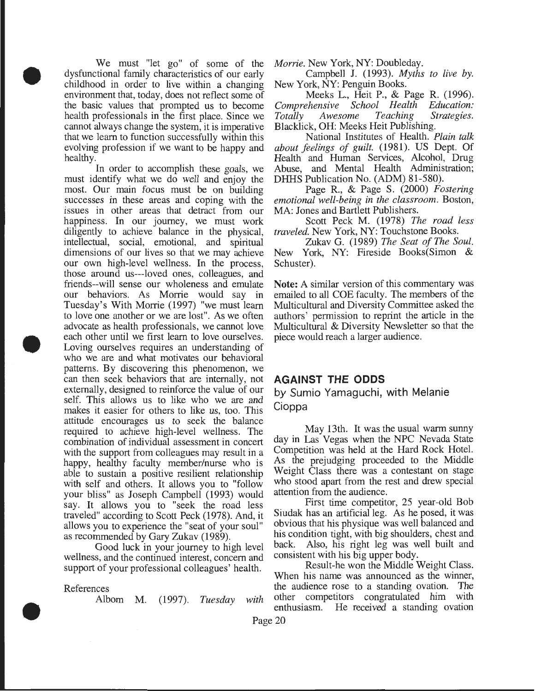We must "let go" of some of the dysfunctional family characteristics of our early childhood in order to live within a changing environment that, today, does not reflect some of the basic values that prompted us to become health professionals in the first place. Since we cannot always change the system, it is imperative that we learn to function successfully within this evolving profession if we want to be happy and healthy.

•

•

In order to accomplish these goals, we must identify what we do well and enjoy the most. Our main focus must be on building successes in these areas and coping with the issues in other areas that detract from our happiness. In our journey, we must work diligently to achieve balance in the physical, intellectual, social, emotional, and spiritual dimensions of our lives so that we may achieve our own high-level wellness. In the process, those around us---loved ones, colleagues, and friends--will sense our wholeness and emulate our behaviors. As Morrie would say in Tuesday's With Morrie (1997) "we must learn to love one another or we are lost". As we often advocate as health professionals, we cannot love each other until we first learn to love ourselves. Loving ourselves requires an understanding of who we are and what motivates our behavioral patterns. By discovering this phenomenon, we can then seek behaviors that are internally, not externally, designed to reinforce the value of our self. This allows us to like who we are and makes it easier for others to like us, too. This attitude encourages us to seek the balance required to achieve high-level wellness. The combination of individual assessment in concert with the support from colleagues may result in a happy, healthy faculty member/nurse who is able to sustain a positive resilient relationship with self and others. It allows you to "follow your bliss" as Joseph Campbell (1993) would say. It allows you to "seek the road less traveled" according to Scott Peck (1978). And, it allows you to experience the "seat of your soul" as recommended by Gary Zukav (1989).

Good luck in your journey to high level wellness, and the continued interest, concern and support of your professional colleagues' health.

References

•

Alborn M. (1997). *Tuesday* 

*Morrie.* New York, NY: Doubleday.

Campbell J. (1993). *Myths to live by.*  New York, NY: Penguin Books.

Meeks L., Heit P., & Page R. (1996). *Comprehensive School Health Education: Strategies.* Blacklick, OH: Meeks Heit Publishing.

National Institutes of Health. *Plain talk about feelings of guilt.* (1981). US Dept. Of Health and Human Services, Alcohol, Drug Abuse, and Mental Health Administration; DHHS Publication No. (ADM) 81-580).

Page R., & Page S. (2000) *Fostering emotional well-being in the classroom.* Boston, MA: Jones and Bartlett Publishers.

Scott Peck M. (1978) *The road less traveled.* New York, NY: Touchstone Books.

Zukav G. (1989) *The Seat of The Soul.*  New York, NY: Fireside Books(Simon & Schuster).

Note: A similar version of this commentary was emailed to all COE faculty. The members of the Multicultural and Diversity Committee asked the authors' permission to reprint the article in the Multicultural & Diversity Newsletter so that the piece would reach a larger audience .

## **AGAINST THE ODDS**

by Sumio Yamaguchi, with Melanie Cioppa

May 13th. It was the usual warm sunny day in Las Vegas when the NPC Nevada State Competition was held at the Hard Rock Hotel. As the prejudging proceeded to the Middle Weight Class there was a contestant on stage who stood apart from the rest and drew special attention from the audience.

First time competitor, 25 year-old Bob Siudak has an artificial leg. As he posed, it was obvious that his physique was well balanced and his condition tight, with big shoulders, chest and back. Also, his right leg was well built and consistent with his big upper body.

Result-he won the Middle Weight Class. When his name was announced as the winner, the audience rose to a standing ovation. The with other competitors congratulated him with enthusiasm. He received a standing ovation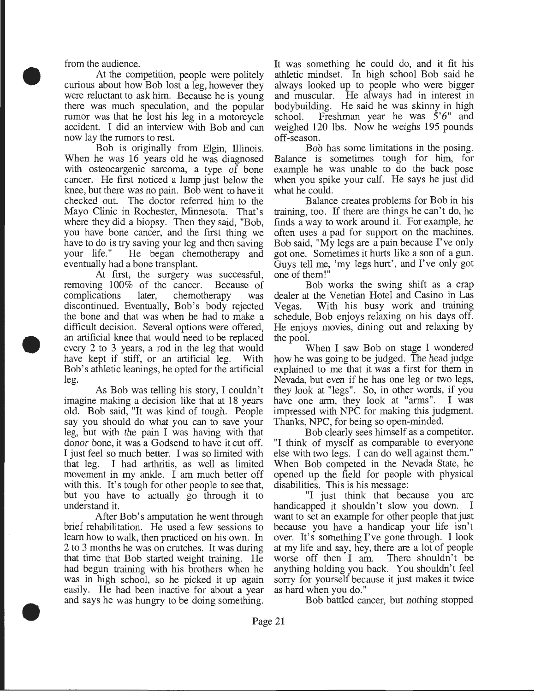from the audience.

•

•

•

At the competition, people were politely curious about how Bob lost a leg, however they were reluctant to ask him. Because he is young there was much speculation, and the popular rumor was that he lost his leg in a motorcycle accident. I did an interview with Bob and can now lay the rumors to rest.

Bob is originally from Elgin, Illinois. When he was 16 years old he was diagnosed with osteocargenic sarcoma, a type of bone cancer. He first noticed a lump just below the knee, but there was no pain. Bob went to have it checked out. The doctor referred him to the Mayo Clinic in Rochester, Minnesota. That's where they did a biopsy. Then they said, "Bob, you have bone cancer, and the first thing we have to do is try saving your leg and then saving your life." He began chemotherapy and eventually had a bone transplant.

At first, the surgery was successful, removing 100% of the cancer. Because of complications later, chemotherapy was discontinued. Eventually, Bob's body rejected the bone and that was when he had to make a difficult decision. Several options were offered, an artificial knee that would need to be replaced every 2 to 3 years, a rod in the leg that would have kept if stiff, or an artificial leg. With Bob's athletic leanings, he opted for the artificial leg.

As Bob was telling his story, I couldn't imagine making a decision like that at 18 years old. Bob said, "It was kind of tough. People say you should do what you can to save your leg, but with the pain I was having with that donor bone, it was a Godsend to have it cut off. I just feel so much better. I was so limited with that leg. I had arthritis, as well as limited movement in my ankle. I am much better off with this. It's tough for other people to see that, but you have to actually go through it to understand it.

After Bob's amputation he went through brief rehabilitation. He used a few sessions to learn how to walk, then practiced on his own. In 2 to 3 months he was on crutches. It was during that time that Bob started weight training. He had begun training with his brothers when he was in high school, so he picked it up again easily. He had been inactive for about a year and says he was hungry to be doing something.

It was something he could do, and it fit his athletic mindset. In high school Bob said he always looked up to people who were bigger and muscular. He always had in interest in bodybuilding. He said he was skinny in high school. Freshman year he was 5'6" and weighed 120 lbs. Now he weighs 195 pounds off-season.

Bob has some limitations in the posing. Balance is sometimes tough for him, for example he was unable to do the back pose when you spike your calf. He says he just did what he could.

Balance creates problems for Bob in his training, too. If there are things he can't do, he finds a way to work around it. For example, he often uses a pad for support on the machines. Bob said, "My legs are a pain because I've only got one. Sometimes it hurts like a son of a gun. Guys tell me, 'my legs hurt', and I've only got one of them!"

Bob works the swing shift as a crap dealer at the Venetian Hotel and Casino in Las Vegas. With his busy work and training schedule, Bob enjoys relaxing on his days off. He enjoys movies, dining out and relaxing by the pool.

When I saw Bob on stage I wondered how he was going to be judged. The head judge explained to me that it was a first for them in Nevada, but even if he has one leg or two legs, they look at "legs". So, in other words, if you have one arm, they look at "arms". I was impressed with NPC for making this judgment. Thanks, NPC, for being so open-minded.

Bob clearly sees himself as a competitor. "I think of myself as comparable to everyone else with two legs. I can do well against them." When Bob competed in the Nevada State, he opened up the field for people with physical disabilities. This is his message:

"I just think that because you are handicapped it shouldn't slow you down. I want to set an example for other people that just because you have a handicap your life isn't over. It's something I've gone through. I look at my life and say, hey, there are a lot of people<br>worse off then I am. There shouldn't be worse off then I am. anything holding you back. You shouldn't feel sorry for yourself because it just makes it twice as hard when you do."

Bob battled cancer, but nothing stopped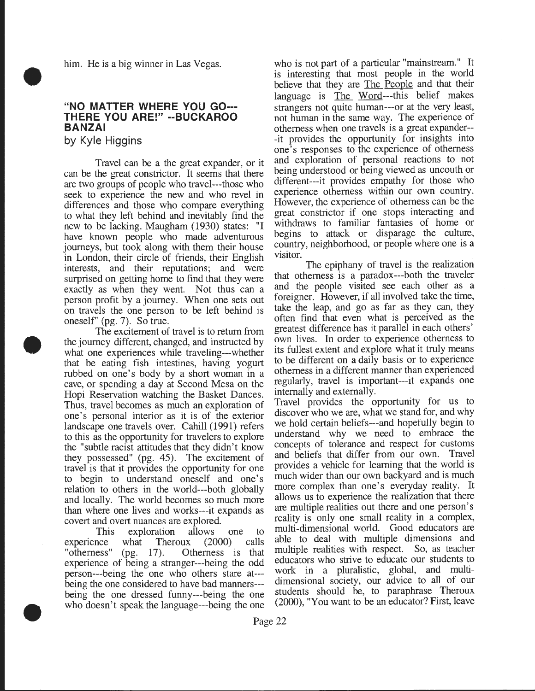him. He is a big winner in Las Vegas.

## **"NO MATTER WHERE YOU GO--- THERE YOU ARE!" --BUCKAROO BANZAI**

by Kyle Higgins

•

•

•

Travel can be a the great expander, or it can be the great constrictor. It seems that there are two groups of people who travel---those who seek to experience the new and who revel in differences and those who compare everything to what they left behind and inevitably find the new to be lacking. Maugham (1930) states: "I have known people who made adventurous journeys, but took along with them their house in London, their circle of friends, their English mterests, and their reputations; and were surprised on getting home to find that they were exactly as when they went. Not thus can a person profit by a journey. When one sets out on travels the one person to be left behind is oneself" (pg. 7). So true.

The excitement of travel is to return from the journey different, changed, and instructed by what one experiences while traveling---whether that be eating fish intestines, having yogurt rubbed on one's body by a short woman in a cave, or spending a day at Second Mesa on the Hopi Reservation watching the Basket Dances. Thus, travel becomes as much an exploration of one's personal interior as it is of the exterior landscape one travels over. Cahill (1991) refers to this as the opportunity for travelers to explore the "subtle racist attitudes that they didn't know they possessed" (pg. 45). The excitement of travel is that it provides the opportunity for one to begin to understand oneself and one's relation to others in the world---both globally and locally. The world becomes so much more than where one lives and works---it expands as covert and overt nuances are explored.

This exploration allows one to experience what Theroux (2000) calls<br>"otherness" (pg. 17). Otherness is that  $(pg. 17)$ . Otherness is that experience of being a stranger---being the odd person---being the one who others stare at-- being the one considered to have bad manners-- being the one dressed funny---being the one who doesn't speak the language---being the one

who is not part of a particular "mainstream." It is interesting that most people in the world believe that they are **The People** and that their language is The Word---this belief makes strangers not quite human---or at the very least, not human in the same way. The experience of otherness when one travels is a great expander-- -it provides the opportunity for insights into one's responses to the experience of otherness and exploration of personal reactions to not being understood or being viewed as uncouth or different---it provides empathy for those who experience otherness within our own country. However, the experience of otherness can be the great constrictor if one stops interacting and withdraws to familiar fantasies of home or begins to attack or disparage the culture, country, neighborhood, or people where one is a visitor.

The epiphany of travel is the realization that otherness is a paradox---both the traveler and the people visited see each other as a foreigner. However, if all involved take the time, take the leap, and go as far as they can, they often find that even what is perceived as the greatest difference has it parallel in each others' own lives. In order to experience otherness to its fullest extent and explore what it truly means to be different on a daily basis or to experience otherness in a different manner than experienced regularly, travel is important---it expands one internally and externally.

Travel provides the opportunity for us to discover who we are, what we stand for, and why we hold certain beliefs---and hopefully begin to understand why we need to embrace the concepts of tolerance and respect for customs and beliefs that differ from our own. Travel provides a vehicle for learning that the world is much wider than our own backyard and is much more complex than one's everyday reality. It allows us to experience the realization that there are multiple realities out there and one person's reality is only one small reality in a complex, multi-dimensional world. Good educators are able to deal with multiple dimensions and multiple realities with respect. So, as teacher educators who strive to educate our students to work in a pluralistic, global, and multidimensional society, our advice to all of our students should be, to paraphrase Theroux (2000), "You want to be an educator? First, leave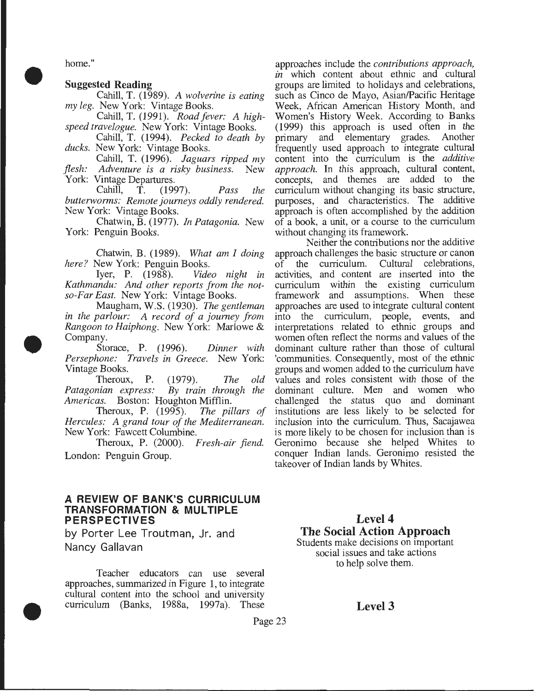home."

•

•

•

#### Suggested **Reading**

Cahill, T. (1989). *A wolverine is eating my leg.* New York: Vintage Books.

Cahill, T. (1991). *Roadfever: A highspeed travelogue.* New York: Vintage Books.

Cahill, T. (1994). *Pecked to death by ducks.* New York: Vintage Books.

Cahill, T. (1996). *Jaguars ripped my flesh: Adventure is a risky business.* New York: Vintage Departures.<br>Cahill, T. (19)

Cahill, T. (1997). *Pass the butterworms: Remote journeys oddly rendered.*  New York: Vintage Books.

Chatwin, B. (1977). *In Patagonia.* New York: Penguin Books.

Chatwin, B. (1989). *What am I doing here?* New York: Penguin Books.

Iyer, P. (1988). *Video night in Kathmandu: And other reports from the notso-Far East.* New York: Vintage Books.

Maugham, W.S. (1930). *The gentleman in the parlour: A record of a journey from Rangoon to Haiphong.* New York: Marlowe & Company.

Storace, P. (1996). *Dinner with Persephone: Travels in Greece.* New York: Vintage Books.

Theroux, P. (1979). *The old Patagonian express: By train through the Americas.* Boston: Houghton Mifflin.

Theroux, P. (1995). *The pillars of Hercules: A grand tour of the Mediterranean.*  New York: Fawcett Columbine.

Theroux, P. (2000). *Fresh-air fiend.*  London: Penguin Group.

## **A REVIEW OF BANK'S CURRICULUM TRANSFORMATION & MULTIPLE PERSPECTIVES**

by Porter Lee Troutman, Jr. and Nancy Gallavan

Teacher educators can use several approaches, summarized in Figure 1, to integrate cultural content into the school and university curriculum (Banks, 1988a, 1997a). These

approaches include the *contributions approach, in* which content about ethnic and cultural groups are limited to holidays and celebrations, such as Cinco de Mayo, Asian/Pacific Heritage Week, African American History Month, and Women's History Week. According to Banks (1999) this approach is used often in the primary and elementary grades. Another frequently used approach to integrate cultural content into the curriculum is the *additive approach.* In this approach, cultural content, concepts, and themes are added to the curriculum without changing its basic structure, purposes, and characteristics. The additive approach is often accomplished by the addition of a book, a unit, or a course to the curriculum without changing its framework.

Neither the contributions nor the additive approach challenges the basic structure or canon of the curriculum. Cultural celebrations, activities, and content are inserted into the curriculum within the existing curriculum framework and assumptions. When these approaches are used to integrate cultural content into the curriculum, people, events, and interpretations related to ethnic groups and women often reflect the norms and values of the dominant culture rather than those of cultural 'communities. Consequently, most of the ethnic groups and women added to the curriculum have values and roles consistent with those of the dominant culture. Men and women who challenged the status quo and dominant institutions are less likely to be selected for inclusion into the curriculum. Thus, Sacajawea is more likely to be chosen for inclusion than is Geronimo because she helped Whites to conquer Indian lands. Geronimo resisted the takeover of Indian lands by Whites.

> **Level4 The Social Action Approach**  Students make decisions on important social issues and take actions to help solve them.

> > **Level3**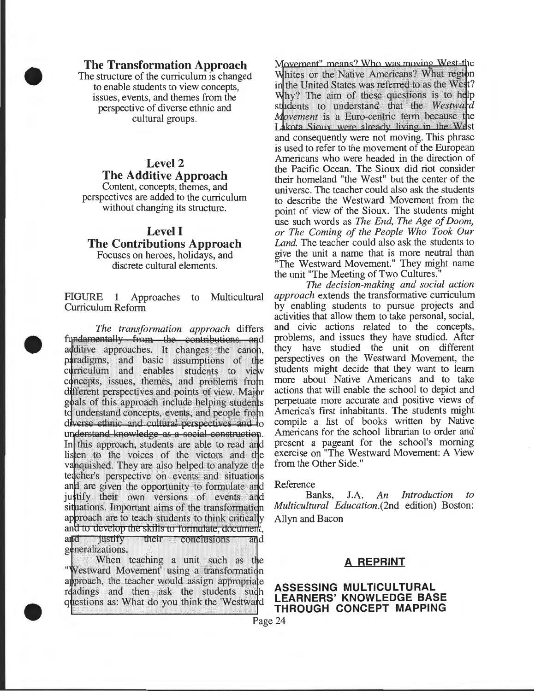## **The Transformation Approach**

•

•

•

The structure of the curriculum is changed to enable students to view concepts, issues, events, and themes from the perspective of diverse ethnic and cultural groups.

## **Level2**

**The Additive Approach** 

Content, concepts, themes, and perspectives are added to the curriculum without changing its structure.

## **Level I**

**The Contributions Approach** 

Focuses on heroes, holidays, and discrete cultural elements.

FIGURE 1 Approaches to Multicultural Curriculum Reform

*The transformation approach* differs fundamentally from the contributions and additive approaches. It changes the canon, paradigms, and basic assumptions of the curriculum and enables students to view concepts, issues, themes, and problems from different perspectives and points of view. Major goals of this approach include helping students to understand concepts, events, and people from<br>diverse ethnic and cultural perspectives and to understand knowledge as a social construction. In this approach, students are able to read and listen to the voices of the victors and the vanquished. They are also helped to analyze the teacher's perspective on events and situations and are given the opportunity to formulate and justify their own versions of events and situations. Important aims of the transformation approach are to teach students to think critically and to develop the skills to formulate, document, and justify their conclusions and generalizations.

When teaching a unit such as the "Westward Movement' using a transformation approach, the teacher would assign appropriate reladings and then ask the students such questions as: What do you think the 'Westward Movement" means? Who was moving West-the Whites or the Native Americans? What region in the United States was referred to as the West?  $Why?$  The aim of these questions is to help students to understand that the *Westward Movement* is a Euro-centric term because the Lakota Sioux were already living in the West and consequently were not moving. This phrase is used to refer to the movement of the European Americans who were headed in the direction of the Pacific Ocean. The Sioux did riot consider their homeland "the West" but the center of the universe. The teacher could also ask the students to describe the Westward Movement from the point of view of the Sioux. The students might use such words as *The End, The Age of Doom, or The Coming of the People Who Took Our Land.* The teacher could also ask the students to give the unit a name that is more neutral than "The Westward Movement." They might name the unit "The Meeting of Two Cultures."

*The decision-making and social action approach* extends the transformative curriculum by enabling students to pursue projects and activities that allow them to take personal, social, and civic actions related to the concepts, problems, and issues they have studied. After they have studied the unit on different perspectives on the Westward Movement, the students might decide that they want to learn more about Native Americans and to take actions that will enable the school to depict and perpetuate more accurate and positive views of America's first inhabitants. The students might compile a list of books written by Native Americans for the school librarian to order and present a pageant for the school's morning exercise on "The Westward Movement: A View from the Other Side."

#### Reference

Banks, J.A. *An Introduction to Multicultural Education.(2nd* edition) Boston: Allyn and Bacon

### **A REPRINT**

## **ASSESSING MULTICULTURAL LEARNERS' KNOWLEDGE BASE THROUGH CONCEPT MAPPING**

Page 24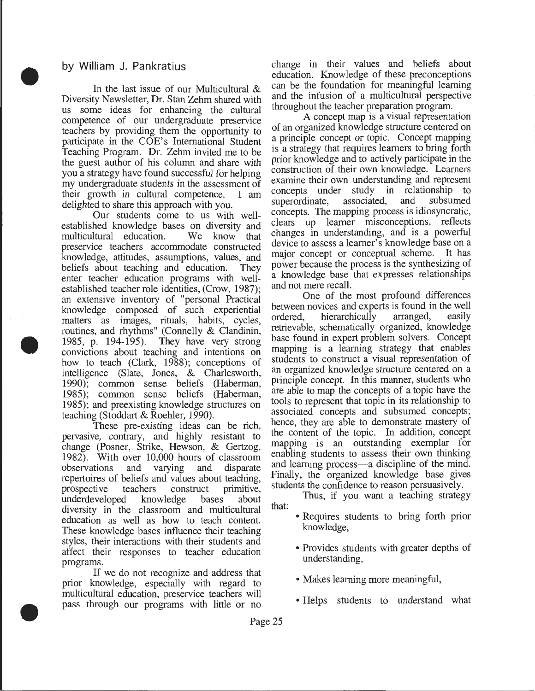## **by William J. Pankratius**

•

•

•

In the last issue of our Multicultural & Diversity Newsletter, Dr. Stan Zehm shared with us some ideas for enhancing the cultural competence of our undergraduate preservice teachers by providing them the opportunity to participate in the COE's International Student Teaching Program. Dr. Zehm invited me to be the guest author of his column and share with you a strategy have found successful for helping my undergraduate students in the assessment of their growth in cultural competence. I am delighted to share this approach with you.

Our students come to us with wellestablished knowledge bases on diversity and<br>multicultural education. We know that multicultural education. preservice teachers accommodate constructed knowledge, attitudes, assumptions, values, and beliefs about teaching and education. enter teacher education programs with wellestablished teacher role identities, (Crow, 1987); an extensive mventory of "personal Practical knowledge composed of such experiential matters as images, rituals, habits, cycles, routines, and rhythms" (Connelly & Clandinin, 1985, p. 194-195). They have very strong  $\frac{1}{2}$ convictions about teaching and intentions on how to teach (Clark, 1988); conceptions of intelligence (Slate, Jones, & Charlesworth, 1990); common sense beliefs (Haberman, 1985); common sense beliefs (Haberman, 1985); and preexisting knowledge structures on teaching (Stoddart & Roehler, 1990).

These pre-existing ideas can be rich pervasive, contrary, and highly resistant to change (Posner, Strike, Hewson, & Gertzog, 1982). With over 10,000 hours of classroom observations and varying and disparate repertoires of beliefs and values about teaching, prospective teachers construct primitive, underdeveloped knowledge bases about diversity in the classroom and multicultural education as well as how to teach content. These knowledge bases influence their teaching styles, their interactions with their students and affect their responses to teacher education programs.

. If we do not recognize and address that prior knowledge, especially with regard to multicultural education, preservice teachers will pass through our programs with little or no

change in their values and beliefs about education. Knowledge of these preconceptions can be the foundation for meaningful learning and the infusion of a multicultural perspective throughout the teacher preparation program.

A concept map is a visual representation of an organized knowledge structure centered on a principle concept or topic. Concept mapping is a strategy that requires learners to bring forth prior knowledge and to actively participate in the construction of their own knowledge. Learners examine their own understanding and represent concepts under study in relationship to<br>superordinate, associated, and subsumed superordinate, concepts. The mapping process is idiosyncratic, clears up learner misconceptions, reflects changes in understanding, and is a powerful device to assess a learner's knowledge base on a major concept or conceptual scheme. It has power because the process is the synthesizing of a knowledge base that expresses relationships and not mere recall.

One of the most profound differences between novices and experts is found in the well ordered, hierarchically arranged, easily retrievable, schematically organized, knowledge base found in expert problem solvers. Concept mapping is a learning strategy that enables students to construct a visual representation of an organized knowledge structure centered on a principle concept. In this manner, students who are able to map the concepts of a topic have the tools to represent that topic in its relationship to associated concepts and subsumed concepts; hence, they are able to demonstrate mastery of the content of the topic. In addition, concept mapping is an outstanding exemplar for enabling students to assess their own thinking and learning process—a discipline of the mind. Finally, the organized knowledge base gives students the confidence to reason persuasively.

Thus, if you want a teaching strategy that:

- Requires students to bring forth prior knowledge,
- Provides students with greater depths of understanding,
- Makes learning more meaningful,
- Helps students to understand what